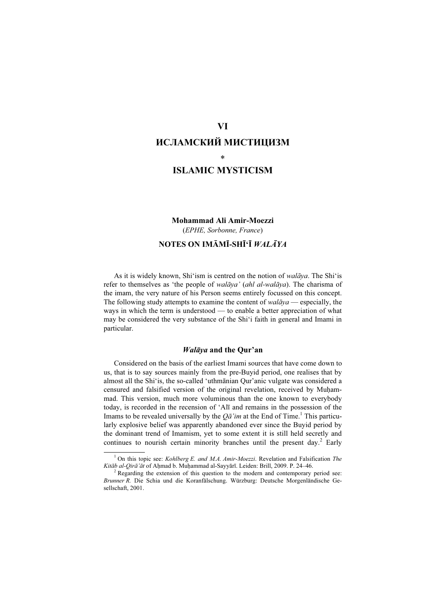# VI ИСЛАМСКИЙ МИСТИЦИЗМ \*

ISLAMIC MYSTICISM

# Mohammad Ali Amir-Moezzi (EPHE, Sorbonne, France) NOTES ON IMĀMĪ-SHĪ'Ī WALĀYA

As it is widely known, Shi'ism is centred on the notion of *walāya*. The Shi'is refer to themselves as 'the people of walāya' (ahl al-walāya). The charisma of the imam, the very nature of his Person seems entirely focussed on this concept. The following study attempts to examine the content of  $walāya$  — especially, the ways in which the term is understood — to enable a better appreciation of what may be considered the very substance of the Shi'i faith in general and Imami in particular.

# Walāya and the Qur'an

Considered on the basis of the earliest Imami sources that have come down to us, that is to say sources mainly from the pre-Buyid period, one realises that by almost all the Shi'is, the so-called 'uthmānian Qur'anic vulgate was considered a censured and falsified version of the original revelation, received by Muḥammad. This version, much more voluminous than the one known to everybody today, is recorded in the recension of 'Alī and remains in the possession of the Imams to be revealed universally by the  $Q\bar{a}'$  im at the End of Time.<sup>1</sup> This particularly explosive belief was apparently abandoned ever since the Buyid period by the dominant trend of Imamism, yet to some extent it is still held secretly and continues to nourish certain minority branches until the present day.<sup>2</sup> Early

<sup>&</sup>lt;sup>1</sup> On this topic see: *Kohlberg E. and M.A. Amir-Moezzi*. Revelation and Falsification *The* Kitāb al-Qirā'āt of Ahmad b. Muhammad al-Sayyārī. Leiden: Brill, 2009. P. 24-46.

<sup>&</sup>lt;sup>2</sup> Regarding the extension of this question to the modern and contemporary period see: Brunner R. Die Schia und die Koranfälschung. Würzburg: Deutsche Morgenländische Gesellschaft, 2001.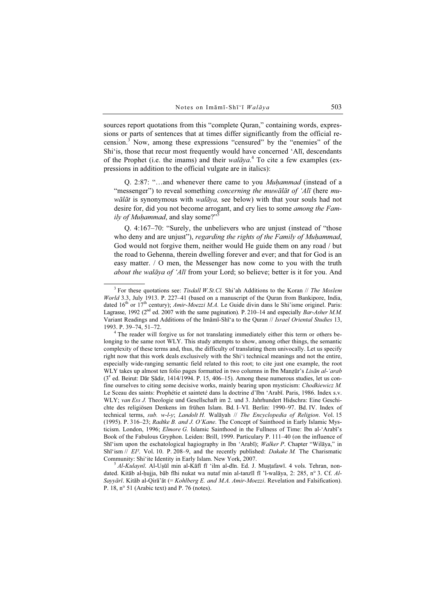sources report quotations from this "complete Quran," containing words, expressions or parts of sentences that at times differ significantly from the official recension.<sup>3</sup> Now, among these expressions "censured" by the "enemies" of the Shi'is, those that recur most frequently would have concerned 'Alī, descendants of the Prophet (i.e. the imams) and their walāya.<sup>4</sup> To cite a few examples (expressions in addition to the official vulgate are in italics):

Q. 2:87: "…and whenever there came to you Muḥammad (instead of a "messenger") to reveal something *concerning the muwālāt of 'Alī* (here muwālāt is synonymous with walāya, see below) with that your souls had not desire for, did you not become arrogant, and cry lies to some among the Family of Muhammad, and slay some?"<sup>5</sup>

Q. 4:167–70: "Surely, the unbelievers who are unjust (instead of "those who deny and are unjust"), regarding the rights of the Family of Muhammad, God would not forgive them, neither would He guide them on any road / but the road to Gehenna, therein dwelling forever and ever; and that for God is an easy matter. / O men, the Messenger has now come to you with the truth about the walāya of 'Alī from your Lord; so believe; better is it for you. And

 $3$  For these quotations see: Tisdall W.St.Cl. Shi'ah Additions to the Koran  $//$  The Moslem World 3.3, July 1913. P. 227–41 (based on a manuscript of the Quran from Bankipore, India, dated  $16<sup>th</sup>$  or  $17<sup>th</sup>$  century); *Amir-Moezzi M.A.* Le Guide divin dans le Shi'isme originel. Paris: Lagrasse, 1992 ( $2<sup>nd</sup>$  ed. 2007 with the same pagination). P. 210–14 and especially *Bar-Asher M.M.* Variant Readings and Additions of the Imāmī-Shī'a to the Quran // Israel Oriental Studies 13, 1993. P. 39–74, 51–72. <sup>4</sup>

<sup>&</sup>lt;sup>4</sup> The reader will forgive us for not translating immediately either this term or others belonging to the same root WLY. This study attempts to show, among other things, the semantic complexity of these terms and, thus, the difficulty of translating them univocally. Let us specify right now that this work deals exclusively with the Shi'i technical meanings and not the entire, especially wide-ranging semantic field related to this root; to cite just one example, the root WLY takes up almost ten folio pages formatted in two columns in Ibn Manzūr's Lisān al-'arab (3e ed. Beirut: Dār Ṣādir, 1414/1994. P. 15, 406–15). Among these numerous studies, let us confine ourselves to citing some decisive works, mainly bearing upon mysticism: Chodkiewicz M. Le Sceau des saints: Prophétie et sainteté dans la doctrine d'Ibn 'Arabī. Paris, 1986. Index s.v. WLY; van Ess J. Theologie und Gesellschaft im 2. und 3. Jahrhundert Hidschra: Eine Geschichte des religiösen Denkens im frühen Islam. Bd. I–VI. Berlin: 1990–97. Bd. IV. Index of technical terms, sub. w-l-y; Landolt H. Walāyah // The Encyclopedia of Religion. Vol. 15 (1995). P. 316–23; Radtke B. and J. O'Kane. The Concept of Sainthood in Early Islamic Mysticism. London, 1996; Elmore G. Islamic Sainthood in the Fullness of Time: Ibn al-'Arabī's Book of the Fabulous Gryphon. Leiden: Brill, 1999. Particulary P. 111–40 (on the influence of Shī'ism upon the eschatological hagiography in Ibn 'Arabī); Walker P. Chapter "Wilāya," in Shī'ism  $// EI<sup>2</sup>$ . Vol. 10. P. 208-9, and the recently published: Dakake M. The Charismatic Community: Shi'ite Identity in Early Islam. New York, 2007.<br>
<sup>5</sup> Al-Kulaynī. Al-Uṣūl min al-Kāfī fī 'ilm al-dīn. Ed. J. Muṣṭafawī. 4 vols. Tehran, non-

dated. Kitāb al-ḥujja, bāb fīhi nukat wa nutaf min al-tanzīl fī 'l-walāya, 2: 285, n° 3. Cf. Al-Sayyārī. Kitāb al-Qirā'āt (= Kohlberg E. and M.A. Amir-Moezzi. Revelation and Falsification). P. 18, n° 51 (Arabic text) and P. 76 (notes).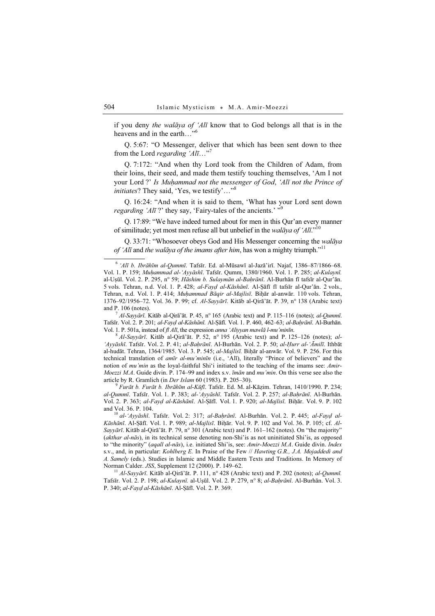if you deny the walāya of 'Alī know that to God belongs all that is in the heavens and in the earth..."<sup>6</sup>

Q. 5:67: "O Messenger, deliver that which has been sent down to thee from the Lord *regarding* ' $Al\bar{\imath}...$ <sup>"7</sup>

Q. 7:172: "And when thy Lord took from the Children of Adam, from their loins, their seed, and made them testify touching themselves, 'Am I not your Lord ?' Is Muhammad not the messenger of God, 'Alī not the Prince of initiates? They said, 'Yes, we testify'..."<sup>8</sup>

Q. 16:24: "And when it is said to them, 'What has your Lord sent down *regarding 'Alī* ?' they say, 'Fairy-tales of the ancients.'  $\cdot$ <sup>9</sup>

Q. 17:89: "We have indeed turned about for men in this Qur'an every manner of similitude; yet most men refuse all but unbelief in the walaya of 'Ali."<sup>10</sup>

Q. 33:71: "Whosoever obeys God and His Messenger concerning the walāya of 'Alī and the walāya of the imams after him, has won a mighty triumph."<sup>11</sup>

Tafsīr. Vol. 2. P. 201; al-Fayḍ al-Kāshānī. Al-Ṣāfī. Vol. 1. P. 460, 462–63; al-Baḥrānī. Al-Burhān. Vol. 1. P. 501a, instead of  $\hat{\pi} A \hat{\pi}$ , the expression *anna 'Aliyyan mawlā l-mu'minīn*. <sup>8</sup> Al-Sayvārī. Kitāb al-Qirā'āt. P. 52, n° 195 (Arabic text) and P. 125–126 (notes); al-

'Ayyāshī. Tafsīr. Vol. 2. P. 41; al-Baḥrānī. Al-Burhān. Vol. 2. P. 50; al-Ḥurr al-'Āmilī. Ithbāt al-hudāt. Tehran, 1364/1985. Vol. 3. P. 545; al-Majlisī. Bihār al-anwār. Vol. 9. P. 256. For this technical translation of amīr al-mu'minīn (i.e., 'Alī), literally "Prince of believers" and the notion of *mu'min* as the loyal-faithful Shi'i initiated to the teaching of the imams see: *Amir-Moezzi M.A.* Guide divin. P. 174–99 and index s.v.  $\overline{t}$  *m* $\overline{a}$ *n* and *mu'min*. On this verse see also the article by R. Gramlich (in *Der Islam* 60 (1983). P. 205–30).<br><sup>9</sup> Furāt b. Furāt b. Ibrāhīm al-Kūfī. Tafsīr. Ed. M. al-Kāzim. Tehran, 1410/1990. P. 234;

al-Qummī. Tafsīr. Vol. 1. P. 383; al-'Ayyāshī. Tafsīr. Vol. 2. P. 257; al-Baḥrānī. Al-Burhān. Vol. 2. P. 363; al-Fayḍ al-Kāshānī. Al-Ṣāfī. Vol. 1. P. 920; al-Majlisī. Biḥār. Vol. 9. P. 102 and Vol. 36. P. 104.<br><sup>10</sup> al-'Ayyāshī. Tafsīr. Vol. 2: 317; al-Baḥrānī. Al-Burhān. Vol. 2. P. 445; al-Fayḍ al-

Kāshānī. Al-Ṣāfī. Vol. 1. P. 989; al-Majlisī. Biḥār. Vol. 9. P. 102 and Vol. 36. P. 105; cf. Al-Sayyārī. Kitāb al-Qirā'āt. P. 79, n° 301 (Arabic text) and P. 161–162 (notes). On "the majority" (akthar al-nās), in its technical sense denoting non-Shi'is as not uninitiated Shi'is, as opposed to "the minority" (aqall al-nās), i.e. initiated Shi'is, see: Amir-Moezzi M.A. Guide divin. Index s.v., and, in particular: Kohlberg E. In Praise of the Few // Hawting G.R., J.A. Mojaddedi and A. Samely (eds.). Studies in Islamic and Middle Eastern Texts and Traditions. In Memory of Norman Calder. JSS, Supplement 12 (2000). P. 149–62.<br><sup>11</sup> Al-Sayyārī. Kitāb al-Qirā'āt. P. 111, n° 428 (Arabic text) and P. 202 (notes); al-Qummī.

Tafsīr. Vol. 2. P. 198; al-Kulaynī. al-Uṣūl. Vol. 2. P. 279, n° 8; al-Baḥrānī. Al-Burhān. Vol. 3. P. 340; al-Fayḍ al-Kāshānī. Al-Ṣāfī. Vol. 2. P. 369.

 $6$ ' $Al\bar{t}$  b. Ibrāhīm al-Qummī. Tafsīr. Ed. al-Mūsawī al-Jazā'irī. Najaf, 1386–87/1866–68. Vol. 1. P. 159; Muḥammad al-'Ayyāshī. Tafsīr. Qumm, 1380/1960. Vol. 1. P. 285; al-Kulaynī. al-Uṣūl. Vol. 2. P. 295, n° 59; Hāshim b. Sulaymān al-Bahrānī. Al-Burhān fī tafsīr al-Qur'ān. 5 vols. Tehran, n.d. Vol. 1. P. 428; al-Fayḍ al-Kāshānī. Al-Ṣāfī fī tafsīr al-Qur'ān. 2 vols., Tehran, n.d. Vol. 1. P. 414; Muhammad Bāqir al-Majlisī. Bihār al-anwār. 110 vols. Tehran, 1376–92/1956–72. Vol. 36. P. 99; cf. Al-Sayyārī. Kitāb al-Qirā'āt. P. 39, n° 138 (Arabic text) and P. 106 (notes).<br><sup>7</sup> Al-Sayyārī. Kitāb al-Qirā'āt. P. 45, n° 165 (Arabic text) and P. 115–116 (notes); al-Qummī.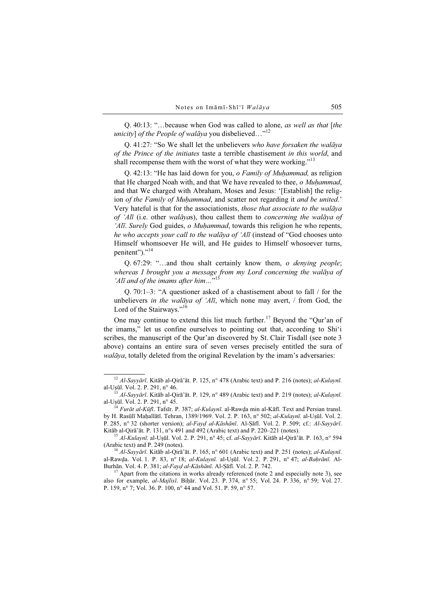Q. 40:13: "…because when God was called to alone, as well as that [the unicity] of the People of walāya you disbelieved..."<sup>12</sup>

Q. 41:27: "So We shall let the unbelievers who have forsaken the walāya of the Prince of the initiates taste a terrible chastisement in this world, and shall recompense them with the worst of what they were working."<sup>13</sup>

Q. 42:13: "He has laid down for you, o Family of Muḥammad, as religion that He charged Noah with, and that We have revealed to thee, o Muhammad, and that We charged with Abraham, Moses and Jesus: '[Establish] the religion of the Family of Muhammad, and scatter not regarding it and be united.' Very hateful is that for the associationists, those that associate to the walāya of 'Alī (i.e. other walāyas), thou callest them to concerning the walāya of 'Alī. Surely God guides, o Muhammad, towards this religion he who repents, he who accepts your call to the walāya of 'Alī (instead of "God chooses unto Himself whomsoever He will, and He guides to Himself whosoever turns, penitent")." $^{14}$ 

Q. 67:29: "…and thou shalt certainly know them, o denying people; whereas I brought you a message from my Lord concerning the walāya of 'Alī and of the imams after him..."<sup>15</sup>

Q. 70:1–3: "A questioner asked of a chastisement about to fall / for the unbelievers in the walāya of 'Alī, which none may avert, / from God, the Lord of the Stairways."<sup>16</sup>

One may continue to extend this list much further.<sup>17</sup> Beyond the "Qur'an of the imams," let us confine ourselves to pointing out that, according to Shi'i scribes, the manuscript of the Qur'an discovered by St. Clair Tisdall (see note 3 above) contains an entire sura of seven verses precisely entitled the sura of walāya, totally deleted from the original Revelation by the imam's adversaries:

<sup>&</sup>lt;sup>12</sup> Al-Sayyārī. Kitāb al-Qirā'āt. P. 125, n° 478 (Arabic text) and P. 216 (notes); al-Kulaynī. al-Uşūl. Vol. 2. P. 291, n° 46.

<sup>&</sup>lt;sup>13</sup> *Al-Sayyārī*. Kitāb al-Qirā'āt. P. 129, n° 489 (Arabic text) and P. 219 (notes); *al-Kulaynī*. al-Usūl. Vol. 2. P. 291, n° 45.

 $\frac{1}{4}$  *Furāt al-Kūfī*. Tafsīr. P. 387; *al-Kulaynī*. al-Rawda min al-Kāfī. Text and Persian transl. by H. Rasūlī Maḥallātī. Tehran, 1389/1969. Vol. 2. P. 163, n° 502; al-Kulaynī. al-Uṣūl. Vol. 2. P. 285, n° 32 (shorter version); al-Fayḍ al-Kāshānī. Al-Ṣāfī. Vol. 2. P. 509; cf.: Al-Sayyārī. Kitāb al-Qirā'āt. P. 131, n°s 491 and 492 (Arabic text) and P. 220–221 (notes).

<sup>&</sup>lt;sup>15</sup> Al-Kulaynī. al-Uṣūl. Vol. 2. P. 291, n° 45; cf. al-Sayyārī. Kitāb al-Qirā'āt. P. 163, n° 594 (Arabic text) and P. 249 (notes).

<sup>&</sup>lt;sup>16</sup> Al-Sayyārī. Kitāb al-Qirā'āt. P. 165, n° 601 (Arabic text) and P. 251 (notes); al-Kulaynī. al-Rawḍa. Vol. 1. P. 83, n° 18; al-Kulaynī. al-Uṣūl. Vol. 2. P. 291, n° 47; al-Baḥrānī. Al-Burhān. Vol. 4. P. 381; *al-Fayḍ al-Kāshānī*. Al-Ṣāfī. Vol. 2. P. 742.<br><sup>17</sup> Apart from the citations in works already referenced (note 2 and especially note 3), see

also for example, al-Majlisī. Biḥār. Vol. 23. P. 374, n° 55; Vol. 24. P. 336, n° 59; Vol. 27. P. 159, n° 7; Vol. 36. P. 100, n° 44 and Vol. 51. P. 59, n° 57.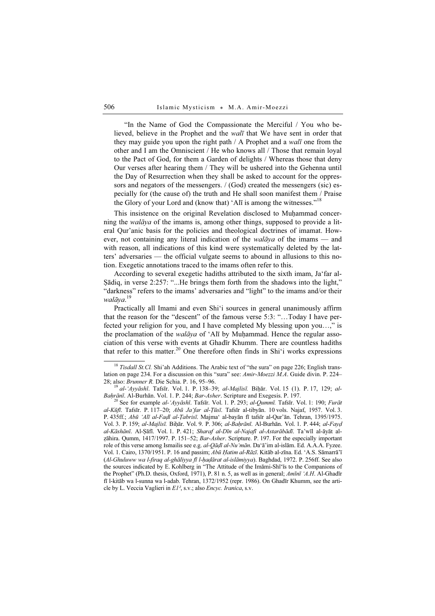"In the Name of God the Compassionate the Merciful / You who believed, believe in the Prophet and the walī that We have sent in order that they may guide you upon the right path / A Prophet and a walī one from the other and I am the Omniscient / He who knows all / Those that remain loyal to the Pact of God, for them a Garden of delights / Whereas those that deny Our verses after hearing them / They will be ushered into the Gehenna until the Day of Resurrection when they shall be asked to account for the oppressors and negators of the messengers. / (God) created the messengers (sic) especially for (the cause of) the truth and He shall soon manifest them / Praise the Glory of your Lord and (know that) 'Al<del>l</del> is among the witnesses."<sup>18</sup>

This insistence on the original Revelation disclosed to Muhammad concerning the walāya of the imams is, among other things, supposed to provide a literal Qur'anic basis for the policies and theological doctrines of imamat. However, not containing any literal indication of the *walāya* of the imams — and with reason, all indications of this kind were systematically deleted by the latters' adversaries — the official vulgate seems to abound in allusions to this notion. Exegetic annotations traced to the imams often refer to this.

According to several exegetic hadiths attributed to the sixth imam, Ja'far al-Ṣādiq, in verse 2:257: "...He brings them forth from the shadows into the light," "darkness" refers to the imams' adversaries and "light" to the imams and/or their walāya. 19

Practically all Imami and even Shi'i sources in general unanimously affirm that the reason for the "descent" of the famous verse 5:3: "…Today I have perfected your religion for you, and I have completed My blessing upon you…," is the proclamation of the *walāya* of 'Alī by Muḥammad. Hence the regular association of this verse with events at Ghadīr Khumm. There are countless hadiths that refer to this matter.<sup>20</sup> One therefore often finds in Shi'i works expressions

<sup>&</sup>lt;sup>18</sup> Tisdall St.Cl. Shi'ah Additions. The Arabic text of "the sura" on page 226; English translation on page 234. For a discussion on this "sura" see: Amir-Moezzi M.A. Guide divin. P. 224–

<sup>28;</sup> also: *Brunner R*. Die Schia. P. 16, 95–96.<br><sup>19</sup> al-'Ayyāshī. Tafsīr. Vol. 1. P. 138–39; al-Majlisī. Biḥār. Vol. 15 (1). P. 17, 129; al-<br>Baḥrānī. Al-Burhān. Vol. 1. P. 244; Bar-Asher. Scripture and Exegesis. P. 197.

<sup>&</sup>lt;sup>20</sup> See for example *al-'Ayyāshī*. Tafsīr. Vol. 1. P. 293; *al-Qummī*. Tafsīr. Vol. 1: 190; Furāt al-Kūfī. Tafsīr. P. 117–20; Abū Ja'far al-Ṭūsī. Tafsīr al-tibyān. 10 vols. Najaf, 1957. Vol. 3. P. 435ff.; Abū 'Alī al-Fadl al-Țabrisī. Majma' al-bayān fī tafsīr al-Qur'ān. Tehran, 1395/1975. Vol. 3. P. 159; al-Majlisī. Biḥār. Vol. 9. P. 306; al-Baḥrānī. Al-Burhān. Vol. 1. P. 444; al-Fayḍ al-Kāshānī. Al-Ṣāfī. Vol. 1. P. 421; Sharaf al-Dīn al-Najafī al-Astarābādī. Ta'wīl al-āyāt alzāhira. Qumm, 1417/1997. P. 151–52; Bar-Asher. Scripture. P. 197. For the especially important role of this verse among Ismailis see e.g. al-Qāḍī al-Nu'mān. Da'ā'im al-islām. Ed. A.A.A. Fyzee. Vol. 1. Cairo, 1370/1951. P. 16 and passim; *Abū Hatim al-Rāzī*. Kitāb al-zīna. Ed. 'A.S. Sāmarrā'ī (Al-Ghuluww wa l-firaq al-ghāliyya fī l-ḥaḍārat al-islāmiyya). Baghdad, 1972. P. 256ff. See also the sources indicated by E. Kohlberg in "The Attitude of the Imāmi-Shī'īs to the Companions of the Prophet" (Ph.D. thesis, Oxford, 1971), P. 81 n. 5, as well as in general; Amīnī 'A.H. Al-Ghadīr fī l-kitāb wa l-sunna wa l-adab. Tehran, 1372/1952 (repr. 1986). On Ghadīr Khumm, see the article by L. Veccia Vaglieri in E1², s.v.; also Encyc. Iranica, s.v.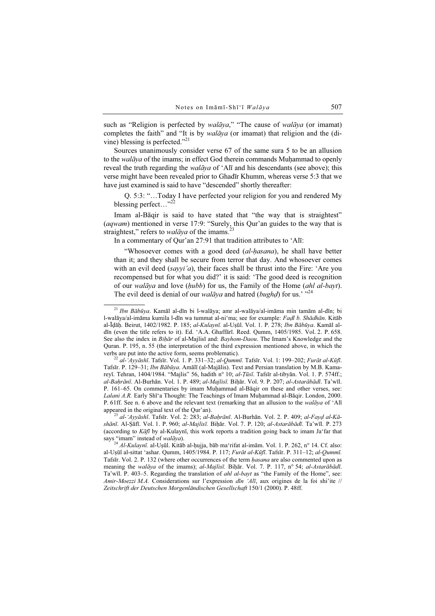such as "Religion is perfected by *walāya*," "The cause of *walāya* (or imamat) completes the faith" and "It is by *walāya* (or imamat) that religion and the (divine) blessing is perfected."<sup>21</sup>

Sources unanimously consider verse 67 of the same sura 5 to be an allusion to the *walāya* of the imams; in effect God therein commands Muhammad to openly reveal the truth regarding the *walāya* of 'Alī and his descendants (see above); this verse might have been revealed prior to Ghadīr Khumm, whereas verse 5:3 that we have just examined is said to have "descended" shortly thereafter:

Q. 5:3: "…Today I have perfected your religion for you and rendered My blessing perfect... $"^{22}$ 

Imam al-Bāqir is said to have stated that "the way that is straightest" (aqwam) mentioned in verse 17:9: "Surely, this Qur'an guides to the way that is straightest," refers to *walāya* of the imams.<sup>23</sup>

In a commentary of Qur'an 27:91 that tradition attributes to 'Alī:

"Whosoever comes with a good deed (al-hasana), he shall have better than it; and they shall be secure from terror that day. And whosoever comes with an evil deed  $(sayyi'a)$ , their faces shall be thrust into the Fire: 'Are you recompensed but for what you did?' it is said: 'The good deed is recognition of our *walāya* and love *(hubb)* for us, the Family of the Home *(ahl al-bayt)*. The evil deed is denial of our *walāya* and hatred (bughd) for us.<sup>'</sup> $^{324}$ 

shānī. Al-Ṣāfī. Vol. 1. P. 960; al-Majlisī. Biḥār. Vol. 7. P. 120; al-Astarābādī. Ta'wīl. P. 273 (according to Kāfī by al-Kulaynī, this work reports a tradition going back to imam Ja'far that says "imam" instead of *walāya*).

<sup>21</sup> Ibn Bābūya. Kamāl al-dīn bi l-walāya; amr al-walāya/al-imāma min tamām al-dīn; bi l-walāya/al-imāma kumila l-dīn wa tummat al-ni'ma; see for example: Faḍl b. Shādhān. Kitāb al-Īḍāḥ. Beirut, 1402/1982. P. 185; al-Kulaynī. al-Uṣūl. Vol. 1. P. 278; Ibn Bābūya. Kamāl aldīn (even the title refers to it). Ed. 'A.A. Ghaffārī. Reed. Qumm, 1405/1985. Vol. 2. P. 658. See also the index in Bihār of al-Majlisī and: Bayhom-Daou. The Imam's Knowledge and the Quran. P. 195, n. 55 (the interpretation of the third expression mentioned above, in which the verbs are put into the active form, seems problematic).<br><sup>22</sup> al-'Ayyāshī. Tafsīr. Vol. 1. P. 331–32; al-Qummī. Tafsīr. Vol. 1: 199–202; Furāt al-Kūfī.

Tafsīr. P. 129–31; Ibn Bābūya. Amālī (al-Majālis). Text and Persian translation by M.B. Kamareyī. Tehran, 1404/1984. "Majlis" 56, hadith nº 10; al-Țūsī. Tafsīr al-tibyān. Vol. 1. P. 574ff.; al-Bahrānī. Al-Burhān. Vol. 1. P. 489; al-Majlisī. Bihār. Vol. 9. P. 207; al-Astarābādī. Ta'wīl. P. 161–65. On commentaries by imam Muhammad al-Bāqir on these and other verses, see: Lalani A.R. Early Shī'a Thought: The Teachings of Imam Muḥammad al-Bāqir. London, 2000. P. 61ff. See n. 6 above and the relevant text (remarking that an allusion to the walaya of 'Ali appeared in the original text of the Qur'an).<br><sup>23</sup> al-'Ayyāshī. Tafsīr. Vol. 2: 283; al-Baḥrānī. Al-Burhān. Vol. 2. P. 409; al-Fayḍ al-Kā-

satinim moteus of walays.<br><sup>24</sup> Al-Kulaynī. al-Uṣūl. Kitāb al-ḥujja, bāb ma'rifat al-imām. Vol. 1. P. 262, n° 14. Cf. also: al-Uṣūl al-sittat 'ashar. Qumm, 1405/1984. P. 117; Furāt al-Kūfī. Tafsīr. P. 311–12; al-Qummī. Tafsīr. Vol. 2. P. 132 (where other occurrences of the term ḥasana are also commented upon as meaning the *walāya* of the imams); *al-Majlisī*. Bihār. Vol. 7. P. 117, n° 54; *al-Astarābādī*. Ta'wīl. P. 403–5. Regarding the translation of ahl al-bayt as "the Family of the Home", see: Amir-Moezzi M.A. Considerations sur l'expression  $d\bar{m}$  'Alī, aux origines de la foi shi'ite // Zeitschrift der Deutschen Morgenländischen Gesellschaft 150/1 (2000). P. 48ff.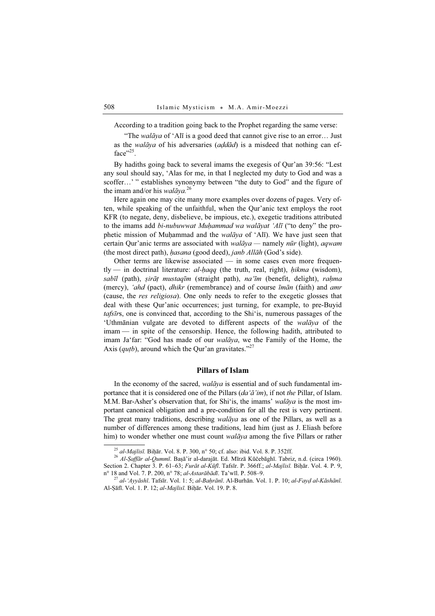According to a tradition going back to the Prophet regarding the same verse:

"The *walāya* of 'Alī is a good deed that cannot give rise to an error... Just as the walāya of his adversaries ( $add\bar{a}d$ ) is a misdeed that nothing can ef $face$ <sup>25</sup>.

By hadiths going back to several imams the exegesis of Qur'an 39:56: "Lest any soul should say, 'Alas for me, in that I neglected my duty to God and was a scoffer…' " establishes synonymy between "the duty to God" and the figure of the imam and/or his *walāya*.<sup>26</sup>

Here again one may cite many more examples over dozens of pages. Very often, while speaking of the unfaithful, when the Qur'anic text employs the root KFR (to negate, deny, disbelieve, be impious, etc.), exegetic traditions attributed to the imams add *bi-nubuwwat Muhammad wa walāyat 'Alī* ("to deny" the prophetic mission of Muḥammad and the walāya of 'Alī). We have just seen that certain Our'anic terms are associated with  $\omega$ *igua* — namely *nūr* (light), *agwam* (the most direct path), hasana (good deed), janb Allāh (God's side).

Other terms are likewise associated — in some cases even more frequen $tly$  — in doctrinal literature: al-haqq (the truth, real, right), hikma (wisdom), sabīl (path), șirāț mustaqīm (straight path), na'īm (benefit, delight), raķma (mercy), 'ahd (pact), dhikr (remembrance) and of course  $\bar{t}$ man (faith) and amr (cause, the res religiosa). One only needs to refer to the exegetic glosses that deal with these Qur'anic occurrences; just turning, for example, to pre-Buyid tafsīrs, one is convinced that, according to the Shi'is, numerous passages of the 'Uthmānian vulgate are devoted to different aspects of the walāya of the imam — in spite of the censorship. Hence, the following hadith, attributed to imam Ja'far: "God has made of our walāya, we the Family of the Home, the Axis (*qutb*), around which the Qur'an gravitates."<sup>27</sup>

## Pillars of Islam

In the economy of the sacred,  $\frac{w}{\text{div}}a$  is essential and of such fundamental importance that it is considered one of the Pillars (da'ā'im), if not the Pillar, of Islam. M.M. Bar-Asher's observation that, for Shi'is, the imams' walaya is the most important canonical obligation and a pre-condition for all the rest is very pertinent. The great many traditions, describing walāya as one of the Pillars, as well as a number of differences among these traditions, lead him (just as J. Eliash before him) to wonder whether one must count *walāya* among the five Pillars or rather

<sup>&</sup>lt;sup>25</sup> al-Majlisī. Biḥār. Vol. 8. P. 300, n° 50; cf. also: ibid. Vol. 8. P. 352ff.<br><sup>26</sup> Al-Saffār al-Qummī. Baṣā'ir al-darajāt. Ed. Mīrzā Kūčebāghī. Tabriz, n.d. (circa 1960). Section 2. Chapter 3. P. 61–63; *Furāt al-Kūfī*. Tafsīr. P. 366ff.; *al-Majlisī*. Biḥār. Vol. 4. P. 9, n° 18 and Vol. 7. P. 200, n° 78; *al-Astarābādī*. Ta'wīl. P. 508–9.

 $n^{27}$  al-'Ayyāshī. Tafsīr. Vol. 1: 5; al-Baḥrānī. Al-Burhān. Vol. 1. P. 10; al-Fayḍ al-Kāshānī. Al-Ṣāfī. Vol. 1. P. 12; al-Majlisī. Biḥār. Vol. 19. P. 8.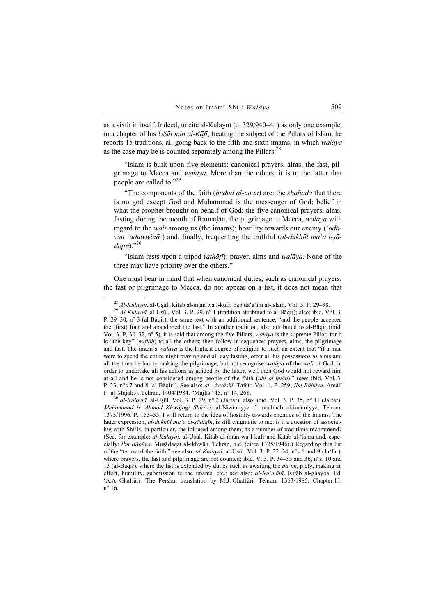as a sixth in itself. Indeed, to cite al-Kulaynī (d. 329/940–41) as only one example, in a chapter of his UṢūl min al-Kāfī, treating the subject of the Pillars of Islam, he reports 15 traditions, all going back to the fifth and sixth imams, in which walaya as the case may be is counted separately among the Pillars:<sup>28</sup>

"Islam is built upon five elements: canonical prayers, alms, the fast, pilgrimage to Mecca and walāya. More than the others, it is to the latter that people are called to."<sup>29</sup>

"The components of the faith  $(hud\bar{u}d\bar{d}a - \bar{u}m\bar{a}n)$  are: the shahāda that there is no god except God and Muhammad is the messenger of God; belief in what the prophet brought on behalf of God; the five canonical prayers, alms, fasting during the month of Ramadān, the pilgrimage to Mecca, walaya with regard to the walī among us (the imams); hostility towards our enemy ('adāwat 'aduwwinā) and, finally, frequenting the truthful (al-dukhūl ma'a l-sā $diq\bar{u}$ )."30

"Islam rests upon a tripod  $(\alpha t h \bar{\alpha} f \bar{\iota})$ : prayer, alms and walaya. None of the three may have priority over the others."

One must bear in mind that when canonical duties, such as canonical prayers, the fast or pilgrimage to Mecca, do not appear on a list, it does not mean that

 $^{30}$  al-Kulaynī. al-Usūl. Vol. 3. P. 29, n° 2 (Ja'far); also: ibid. Vol. 3. P. 35, n° 11 (Ja'far); Muḥammad b. Aḥmad Khwājagī Shīrāzī. al-Niẓāmiyya fī madhhab al-imāmiyya. Tehran, 1375/1996. P. 153–55. I will return to the idea of hostility towards enemies of the imams. The latter expression,  $al-dukh\bar{u}l$  ma'a al-ṣādiqīn, is still enigmatic to me: is it a question of associating with Shi'is, in particular, the initiated among them, as a number of traditions recommend? (See, for example: al-Kulaynī. al-Uṣūl. Kitāb al-īmān wa l-kufr and Kitāb al-'ishra and, especially: Ibn Bābūya. Muṣādaqat al-ikhwān. Tehran, n.d. (circa 1325/1946).) Regarding this list of the "terms of the faith," see also: al-Kulaynī. al-Uṣūl. Vol. 3. P. 32–34, n°s 6 and 9 (Ja'far), where prayers, the fast and pilgrimage are not counted; ibid. V. 3. P. 34–35 and 36, n°s. 10 and 13 (al-Bāqir), where the list is extended by duties such as awaiting the  $q\bar{a}$ 'im, piety, making an effort, humility, submission to the imams, etc.; see also:  $al$ - $Nu'$  mani. Kitab al-ghayba. Ed. 'A.A. Ghaffārī. The Persian translation by M.J. Ghaffārī. Tehran, 1363/1985. Chapter 11,  $n^{\circ}$  16.

<sup>&</sup>lt;sup>28</sup> Al-Kulaynī. al-Uṣūl. Kitāb al-īmān wa l-kufr, bāb da'ā'im al-islām. Vol. 3. P. 29–38.<br><sup>29</sup> Al-Kulaynī. al-Uṣūl. Vol. 3. P. 29, n° 1 (tradition attributed to al-Bāqir); also: ibid. Vol. 3. P. 29–30, n° 3 (al-Bāqir), the same text with an additional sentence, "and the people accepted the (first) four and abandoned the last." In another tradition, also attributed to al-Bāqir (ibid. Vol. 3. P. 30–32, n° 5), it is said that among the five Pillars, walāya is the supreme Pillar, for it is "the key" (miftah) to all the others; then follow in sequence: prayers, alms, the pilgrimage and fast. The imam's walāya is the highest degree of religion to such an extent that "if a man were to spend the entire night praying and all day fasting, offer all his possessions as alms and all the time he has to making the pilgrimage, but not recognise walaya of the wali of God, in order to undertake all his actions as guided by the latter, well then God would not reward him at all and he is not considered among people of the faith  $(ahl$   $al\text{-}Im\bar{a}n)$ ." (see: ibid. Vol. 3. P. 33, n°s 7 and 8 [al-Bāqir]). See also: al-'Ayyāshī. Tafsīr. Vol. 1. P. 259; Ibn Bābūya. Amālī (= al-Majālis). Tehran, 1404/1984. "Majlis" 45, n° 14, 268.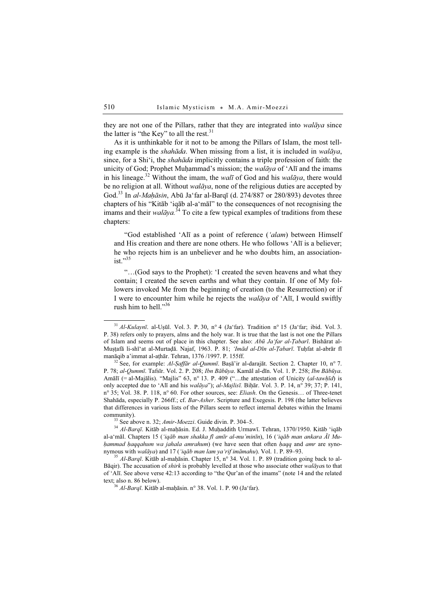they are not one of the Pillars, rather that they are integrated into walāya since the latter is "the Key" to all the rest. $31$ 

As it is unthinkable for it not to be among the Pillars of Islam, the most telling example is the shahāda. When missing from a list, it is included in walāya, since, for a Shi'i, the shahāda implicitly contains a triple profession of faith: the unicity of God; Prophet Muhammad's mission; the *walāya* of 'Alī and the imams in his lineage.<sup>32</sup> Without the imam, the *walī* of God and his *walāya*, there would be no religion at all. Without *walāya*, none of the religious duties are accepted by God.<sup>33</sup> In al-Mahāsin, Abū Ja'far al-Barqī (d. 274/887 or 280/893) devotes three chapters of his "Kitāb 'iqāb al-a'māl" to the consequences of not recognising the imams and their walāya.<sup>34</sup> To cite a few typical examples of traditions from these chapters:

"God established 'Alī as a point of reference ('alam) between Himself and His creation and there are none others. He who follows 'Alī is a believer; he who rejects him is an unbeliever and he who doubts him, an associationist $"35"$ 

"…(God says to the Prophet): 'I created the seven heavens and what they contain; I created the seven earths and what they contain. If one of My followers invoked Me from the beginning of creation (to the Resurrection) or if I were to encounter him while he rejects the walāya of 'Alī, I would swiftly rush him to hell."<sup>36</sup>

<sup>33</sup> See above n. 32; *Amir-Moezzi*. Guide divin. P. 304–5.<br><sup>34</sup> Al-Barqī. Kitāb al-maḥāsin. Ed. J. Muḥaddith Urmawī. Tehran, 1370/1950. Kitāb 'iqāb al-a'māl. Chapters 15 ('iqāb man shakka fī amīr al-mu'minīn), 16 ('iqāb man ankara Āl Muhammad haqqahum wa jahala amrahum) (we have seen that often haqq and amr are syno-<br>nymous with walaya) and 17 ('iqab man lam ya'rif imamahu). Vol. 1. P. 89–93.

 $31$  Al-Kulaynī. al-Uṣūl. Vol. 3. P. 30, n° 4 (Ja'far). Tradition n° 15 (Ja'far; ibid. Vol. 3. P. 38) refers only to prayers, alms and the holy war. It is true that the last is not one the Pillars of Islam and seems out of place in this chapter. See also: Abū Ja'far al-Tabarī. Bishārat al-Muṣṭafā li-shī'at al-Murtaḍā. Najaf, 1963. P. 81; 'Imād al-Dīn al-Ṭabarī. Tuḥfat al-abrār fī manāqib a'immat al-aṭhār. Tehran, 1376 /1997. P. 155ff.<br><sup>32</sup> See, for example: Al-Saffār al-Qummī. Baṣā'ir al-darajāt. Section 2. Chapter 10, n° 7.

P. 78; al-Qummī. Tafsīr. Vol. 2. P. 208; Ibn Bābūya. Kamāl al-dīn. Vol. 1. P. 258; Ibn Bābūya. Amālī (= al-Majālis). "Majlis" 63, n° 13. P. 409 ("...the attestation of Unicity (al-tawḥīd) is only accepted due to 'Alī and his *walāya*"); *al-Majlisī*. Bihār. Vol. 3. P. 14, n° 39; 37; P. 141,  $n^{\circ}$  35; Vol. 38. P. 118,  $n^{\circ}$  60. For other sources, see: *Eliash*. On the Genesis... of Three-tenet Shahāda, especially P. 266ff.; cf. Bar-Asher. Scripture and Exegesis. P. 198 (the latter believes that differences in various lists of the Pillars seem to reflect internal debates within the Imami

<sup>&</sup>lt;sup>35</sup> Al-Barqī. Kitāb al-mahāsin. Chapter 15, n° 34. Vol. 1. P. 89 (tradition going back to al-Bāqir). The accusation of *shirk* is probably levelled at those who associate other *walāyas* to that of 'Alī. See above verse 42:13 according to "the Qur'an of the imams" (note 14 and the related text; also n. 86 below).  $36 \frac{\text{MeV}}{\text{MeV}}$  al-maḥāsin. n° 38. Vol. 1. P. 90 (Ja'far).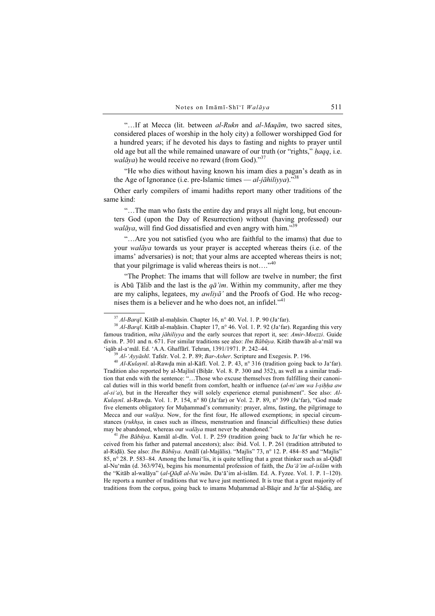"...If at Mecca (lit. between al-Rukn and al-Maqām, two sacred sites, considered places of worship in the holy city) a follower worshipped God for a hundred years; if he devoted his days to fasting and nights to prayer until old age but all the while remained unaware of our truth (or "rights," hagq, i.e. *walāya*) he would receive no reward (from God)."<sup>37</sup>

"He who dies without having known his imam dies a pagan's death as in the Age of Ignorance (i.e. pre-Islamic times  $-$  al-jāhiliyya)."<sup>38</sup>

Other early compilers of imami hadiths report many other traditions of the same kind:

"…The man who fasts the entire day and prays all night long, but encounters God (upon the Day of Resurrection) without (having professed) our walāya, will find God dissatisfied and even angry with him."<sup>39</sup>

"…Are you not satisfied (you who are faithful to the imams) that due to your *walāya* towards us your prayer is accepted whereas theirs (i.e. of the imams' adversaries) is not; that your alms are accepted whereas theirs is not; that your pilgrimage is valid whereas theirs is not...." $40$ 

"The Prophet: The imams that will follow are twelve in number; the first is Abū Tālib and the last is the  $q\bar{a}'$  im. Within my community, after me they are my caliphs, legatees, my awliyā' and the Proofs of God. He who recognises them is a believer and he who does not, an infidel."<sup>41</sup>

Tradition also reported by al-Majlisī (Biḥār. Vol. 8. P. 300 and 352), as well as a similar tradition that ends with the sentence: "…Those who excuse themselves from fulfilling their canonical duties will in this world benefit from comfort, health or influence  $(al-ni'am wa l-sihha aw$  $al-si'a$ ), but in the Hereafter they will solely experience eternal punishment". See also: Al-Kulaynī. al-Rawda. Vol. 1. P. 154, n° 80 (Ja'far) or Vol. 2. P. 89, n° 399 (Ja'far), "God made five elements obligatory for Muḥammad's community: prayer, alms, fasting, the pilgrimage to Mecca and our walāya. Now, for the first four, He allowed exemptions; in special circumstances (*rukhsa*, in cases such as illness, menstruation and financial difficulties) these duties may be abandoned, whereas our *walāya* must never be abandoned."<br><sup>41</sup> Ibn Bābūya. Kamāl al-dīn. Vol. 1. P. 259 (tradition going back to Ja'far which he re-

ceived from his father and paternal ancestors); also: ibid. Vol. 1. P. 261 (tradition attributed to al-Riḍā). See also: Ibn Bābūya. Amālī (al-Majālis). "Majlis" 73, n° 12. P. 484–85 and "Majlis" 85, n° 28. P. 583–84. Among the Ismai'lis, it is quite telling that a great thinker such as al-Qāḍī al-Nu'mān (d. 363/974), begins his monumental profession of faith, the  $Da' \ddot{a'}$  im al-islam with the "Kitāb al-walāya" (al-Qādī al-Nu'mān. Da'ā'im al-islām. Ed. A. Fyzee. Vol. 1. P. 1–120). He reports a number of traditions that we have just mentioned. It is true that a great majority of traditions from the corpus, going back to imams Muḥammad al-Bāqir and Ja'far al-Şādiq, are

<sup>&</sup>lt;sup>37</sup> Al-Barqī. Kitāb al-maḥāsin. Chapter 16, n° 40. Vol. 1. P. 90 (Ja'far). <br><sup>38</sup> Al-Barqī. Kitāb al-maḥāsin. Chapter 17, n° 46. Vol. 1. P. 92 (Ja'far). Regarding this very famous tradition, mīta jāhiliyya and the early sources that report it, see: Amir-Moezzi. Guide divin. P. 301 and n. 671. For similar traditions see also: *Ibn Bābūya*. Kitāb thawāb al-a'māl wa 'iqāb al-a'māl. Ed. 'A.A. Ghaffārī. Tehran, 1391/1971. P. 242–44.

<sup>&</sup>lt;sup>39</sup> Al-'Ayyāshī. Tafsīr. Vol. 2. P. 89; Bar-Asher. Scripture and Exegesis. P. 196.<br><sup>40</sup> Al-Kulavnī. al-Rawda min al-Kāfī. Vol. 2. P. 43, n° 316 (tradition going back to Ja'far).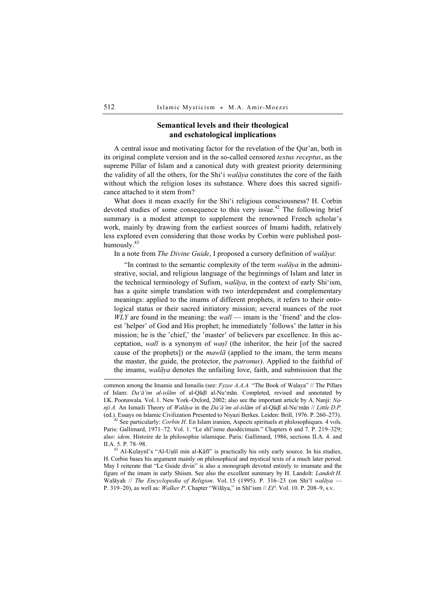# Semantical levels and their theological and eschatological implications

A central issue and motivating factor for the revelation of the Qur'an, both in its original complete version and in the so-called censored textus receptus, as the supreme Pillar of Islam and a canonical duty with greatest priority determining the validity of all the others, for the Shi'i walāya constitutes the core of the faith without which the religion loses its substance. Where does this sacred significance attached to it stem from?

What does it mean exactly for the Shi'i religious consciousness? H. Corbin devoted studies of some consequence to this very issue.<sup>42</sup> The following brief summary is a modest attempt to supplement the renowned French scholar's work, mainly by drawing from the earliest sources of Imami hadith, relatively less explored even considering that those works by Corbin were published posthumously. $43$ 

In a note from The Divine Guide, I proposed a cursory definition of walāya:

"In contrast to the semantic complexity of the term  $\omega a \bar{a} \gamma a$  in the administrative, social, and religious language of the beginnings of Islam and later in the technical terminology of Sufism, walāya, in the context of early Shi'ism, has a quite simple translation with two interdependent and complementary meanings: applied to the imams of different prophets, it refers to their ontological status or their sacred initiatory mission; several nuances of the root  $WLY$  are found in the meaning: the  $wal\bar{\imath}$  — imam is the 'friend' and the closest 'helper' of God and His prophet; he immediately 'follows' the latter in his mission; he is the 'chief,' the 'master' of believers par excellence. In this acceptation, walī is a synonym of wasī (the inheritor, the heir [of the sacred cause of the prophets]) or the  $mawl\bar{a}$  (applied to the imam, the term means the master, the guide, the protector, the *patronus*). Applied to the faithful of the imams, walāya denotes the unfailing love, faith, and submission that the

H. Corbin bases his argument mainly on philosophical and mystical texts of a much later period. May I reiterate that "Le Guide divin" is also a monograph devoted entirely to imamate and the figure of the imam in early Shiism. See also the excellent summary by H. Landolt: Landolt H. Walāyah // The Encyclopedia of Religion. Vol. 15 (1995). P. 316–23 (on Shi'ī walāya — P. 319–20), as well as: Walker P. Chapter "Wilāya," in Shī'ism // EI<sup>2</sup>. Vol. 10. P. 208–9, s.v.

common among the Imamis and Ismailis (see: Fyzee A.A.A. "The Book of Walaya" // The Pillars of Islam: Da'ā'im al-islām of al-Qāḍī al-Nu'mān. Completed, revised and annotated by I.K. Poonawala. Vol. 1. New York–Oxford, 2002; also see the important article by A. Nanji: Nanji A. An Ismaili Theory of Walāya in the Da'ā'im al-islām of al-Qāḍī al-Nu'mān // Little D.P. (ed.). Essays on Islamic Civilization Presented to Niyazi Berkes. Leiden: Brill, 1976. P. 260–273).  $42^2$  See particularly: *Corbin H*. En Islam iranien, Aspects spirituels et philosophiques. 4 vols.

Paris: Gallimard, 1971–72. Vol. 1. "Le shī'isme duodécimain." Chapters 6 and 7. P. 219–329; also: idem. Histoire de la philosophie islamique. Paris: Gallimard, 1986, sections II.A. 4. and II.A. 5. P. 78–98. <sup>43</sup> Al-Kulaynī's "Al-Uṣūl min al-Kāfī" is practically his only early source. In his studies,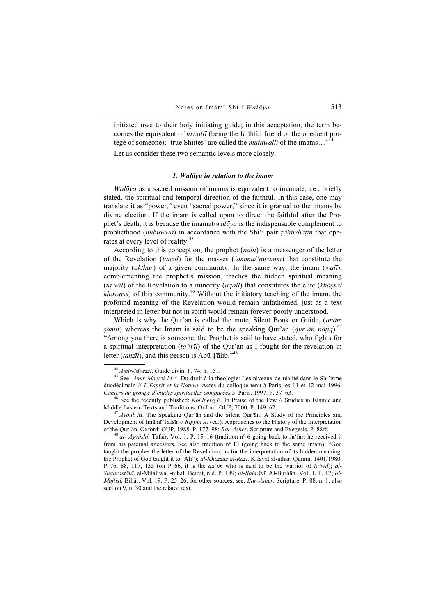initiated owe to their holy initiating guide; in this acceptation, the term becomes the equivalent of *tawallī* (being the faithful friend or the obedient protégé of someone); 'true Shiites' are called the *mutawallī* of the imams..."<sup>44</sup>

Let us consider these two semantic levels more closely.

#### 1. Walāya in relation to the imam

Walāya as a sacred mission of imams is equivalent to imamate, i.e., briefly stated, the spiritual and temporal direction of the faithful. In this case, one may translate it as "power," even "sacred power," since it is granted to the imams by divine election. If the imam is called upon to direct the faithful after the Prophet's death, it is because the imamat/walāya is the indispensable complement to prophethood (*nubuwwa*) in accordance with the Shi'i pair *zāhir/bātin* that operates at every level of reality.<sup>45</sup>

According to this conception, the prophet  $(nab\bar{\imath})$  is a messenger of the letter of the Revelation (tanzīl) for the masses ('āmma/'awāmm) that constitute the majority (*akthar*) of a given community. In the same way, the imam (*wali*), complementing the prophet's mission, teaches the hidden spiritual meaning (ta'wīl) of the Revelation to a minority (agall) that constitutes the elite (khāssa/  $k$ hawāṣṣ) of this community.<sup>46</sup> Without the initiatory teaching of the imam, the profound meaning of the Revelation would remain unfathomed, just as a text interpreted in letter but not in spirit would remain forever poorly understood.

Which is why the Qur'an is called the mute, Silent Book or Guide, (imām *sāmit*) whereas the Imam is said to be the speaking Our'an (*qur'ān nātiq*).<sup>47</sup> "Among you there is someone, the Prophet is said to have stated, who fights for a spiritual interpretation (ta'wīl) of the Qur'an as I fought for the revelation in letter *(tanzīl)*, and this person is Abū Tālib."<sup>48</sup>

<sup>46</sup> See the recently published: *Kohlberg E*. In Praise of the Few // Studies in Islamic and Middle Eastern Texts and Traditions. Oxford: OUP, 2000. P. 149–62.

 $^{47}$  Ayoub M. The Speaking Qur'ān and the Silent Qur'ān: A Study of the Principles and Development of Imāmī Tafsīr // Rippin A. (ed.). Approaches to the History of the Interpretation of the Qur'ān. Oxford: OUP, 1988. P. 177–98; *Bar-Asher*. Scripture and Exegesis. P. 88ff.

<sup>48</sup> al-'Ayyāshī. Tafsīr. Vol. 1. P. 15–16 (tradition n° 6 going back to Ja'far; he received it from his paternal ancestors. See also tradition n° 13 (going back to the same imam): "God taught the prophet the letter of the Revelation; as for the interpretation of its hidden meaning, the Prophet of God taught it to 'Alī"); al-Khazzāz al-Rāzī. Kifāyat al-athar. Qumm, 1401/1980. P. 76, 88, 117, 135 (on P. 66, it is the  $q\bar{a}'$  im who is said to be the warrior of ta'wīl); al-Shahrastānī. al-Milal wa l-nihal. Beirut, n.d. P. 189; al-Bahrānī. Al-Burhān. Vol. 1. P. 17; al-Majlisī. Biḥār. Vol. 19. P. 25–26; for other sources, see: Bar-Asher. Scripture. P. 88, n. 1; also section 9, n. 30 and the related text.

<sup>&</sup>lt;sup>44</sup> Amir-Moezzi. Guide divin. P. 74, n. 151.<br><sup>45</sup> See: Amir-Moezzi M.A. Du droit à la théologie: Les niveaux de réalité dans le Shi'isme duodécimain // L'Esprit et la Nature. Actes du colloque tenu à Paris les 11 et 12 mai 1996.<br>Cahiers du groupe d'études spirituelles comparées 5. Paris, 1997. P. 37–63.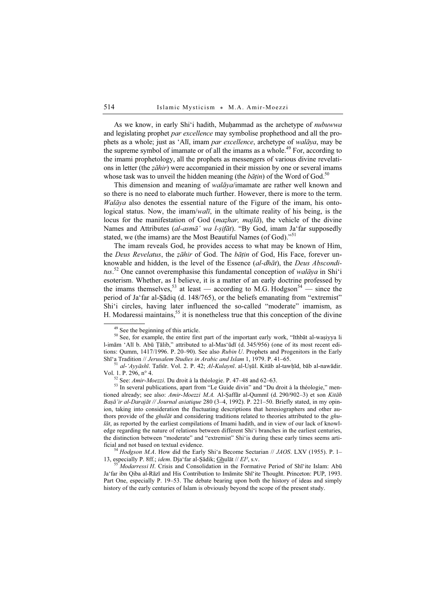As we know, in early Shi'i hadith, Muhammad as the archetype of *nubuwwa* and legislating prophet par excellence may symbolise prophethood and all the prophets as a whole; just as 'Alī, imam par excellence, archetype of walāya, may be the supreme symbol of imamate or of all the imams as a whole.<sup>49</sup> For, according to the imami prophetology, all the prophets as messengers of various divine revelations in letter (the *zāhir*) were accompanied in their mission by one or several imams whose task was to unveil the hidden meaning (the  $b\bar{a}t$ in) of the Word of God.<sup>50</sup>

This dimension and meaning of walāya/imamate are rather well known and so there is no need to elaborate much further. However, there is more to the term.  $Walāva$  also denotes the essential nature of the Figure of the imam, his ontological status. Now, the imam/walī, in the ultimate reality of his being, is the locus for the manifestation of God (*mazhar, majla*), the vehicle of the divine Names and Attributes (al-asmā' wa l-ṣifāt). "By God, imam Ja'far supposedly stated, we (the imams) are the Most Beautiful Names (of God)."<sup>51</sup>

The imam reveals God, he provides access to what may be known of Him, the Deus Revelatus, the zāhir of God. The bāțin of God, His Face, forever unknowable and hidden, is the level of the Essence (al-dhāt), the Deus Absconditus.<sup>52</sup> One cannot overemphasise this fundamental conception of walaya in Shi'i esoterism. Whether, as I believe, it is a matter of an early doctrine professed by the imams themselves,<sup>53</sup> at least — according to M.G. Hodgson<sup>54</sup> — since the period of Ja'far al-Şādiq (d. 148/765), or the beliefs emanating from "extremist" Shi'i circles, having later influenced the so-called "moderate" imamism, as H. Modaressi maintains,  $55$  it is nonetheless true that this conception of the divine

13, especially P. 8ff.; *idem*. Dja'far al-Şādik; **Ghulāt** // EI<sup>2</sup>, s.v. 55 Modarressi H. Crisis and Consolidation in the Formative Period of Shī'ite Islam: Abū

Ja'far ibn Qiba al-Rāzī and His Contribution to Imāmite Shī'ite Thought. Princeton: PUP, 1993. Part One, especially P. 19–53. The debate bearing upon both the history of ideas and simply history of the early centuries of Islam is obviously beyond the scope of the present study.

<sup>49</sup> See the beginning of this article.

<sup>&</sup>lt;sup>50</sup> See, for example, the entire first part of the important early work, "Ithbāt al-waṣiyya li l-imām 'Alī b. Abū Ṭālib," attributed to al-Mas'ūdī (d. 345/956) (one of its most recent editions: Qumm, 1417/1996. P. 20–90). See also Rubin U. Prophets and Progenitors in the Early Shī'a Tradition // Jerusalem Studies in Arabic and Islam 1, 1979. P. 41–65.<br><sup>51</sup> al-'Ayyāshī. Tafsīr. Vol. 2. P. 42; Al-Kulaynī. al-Uṣūl. Kitāb al-tawhīd, bāb al-nawādir.

Vol. 1. P. 296, n° 4.<br>
<sup>52</sup> See: *Amir-Moezzi*. Du droit à la théologie. P. 47–48 and 62–63.<br>
<sup>53</sup> In several publications, apart from "Le Guide divin" and "Du droit à la théologie," men-

tioned already; see also: Amir-Moezzi M.A. Al-Şaffār al-Qummī (d. 290/902-3) et son Kitāb Baṣā'ir al-Darajāt // Journal asiatique 280 (3–4, 1992). P. 221–50. Briefly stated, in my opinion, taking into consideration the fluctuating descriptions that heresiographers and other authors provide of the *ghulāt* and considering traditions related to theories attributed to the *ghu* $l\bar{a}t$ , as reported by the earliest compilations of Imami hadith, and in view of our lack of knowledge regarding the nature of relations between different Shi'i branches in the earliest centuries, the distinction between "moderate" and "extremist" Shi'is during these early times seems artificial and not based on textual evidence.<br><sup>54</sup> Hodgson M.A. How did the Early Shi'a Become Sectarian // JAOS. LXV (1955). P. 1–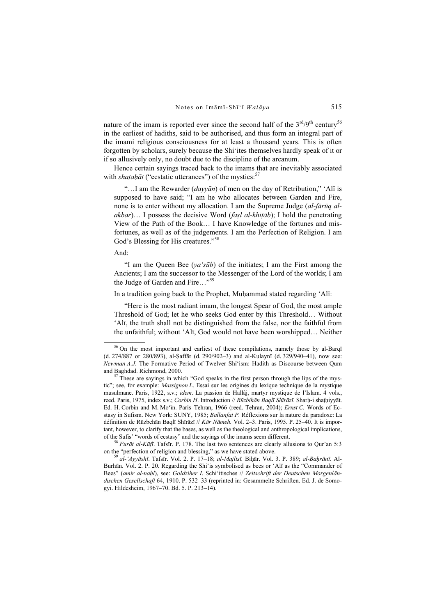nature of the imam is reported ever since the second half of the  $3<sup>rd</sup>/9<sup>th</sup>$  century<sup>56</sup> in the earliest of hadiths, said to be authorised, and thus form an integral part of the imami religious consciousness for at least a thousand years. This is often forgotten by scholars, surely because the Shi'ites themselves hardly speak of it or if so allusively only, no doubt due to the discipline of the arcanum.

Hence certain sayings traced back to the imams that are inevitably associated with shataḥāt ("ecstatic utterances") of the mystics: $57$ 

"...I am the Rewarder ( $dayv\bar{a}n$ ) of men on the day of Retribution," 'Alī is supposed to have said; "I am he who allocates between Garden and Fire, none is to enter without my allocation. I am the Supreme Judge (al-fārūq alakbar)... I possess the decisive Word (fașl al-khițāb); I hold the penetrating View of the Path of the Book… I have Knowledge of the fortunes and misfortunes, as well as of the judgements. I am the Perfection of Religion. I am God's Blessing for His creatures."<sup>58</sup>

#### And:

"I am the Queen Bee ( $ya's\bar{u}b$ ) of the initiates; I am the First among the Ancients; I am the successor to the Messenger of the Lord of the worlds; I am the Judge of Garden and Fire..."<sup>59</sup>

In a tradition going back to the Prophet, Muḥammad stated regarding 'Alī:

"Here is the most radiant imam, the longest Spear of God, the most ample Threshold of God; let he who seeks God enter by this Threshold… Without 'Alī, the truth shall not be distinguished from the false, nor the faithful from the unfaithful; without 'Alī, God would not have been worshipped… Neither

<sup>&</sup>lt;sup>56</sup> On the most important and earliest of these compilations, namely those by al-Barqī (d. 274/887 or 280/893), al-Ṣaffār (d. 290/902–3) and al-Kulaynī (d. 329/940–41), now see: Newman A.J. The Formative Period of Twelver Shī'ism: Hadith as Discourse between Qum and Baghdad. Richmond, 2000.<br><sup>57</sup> These are sayings in which "God speaks in the first person through the lips of the mys-

tic"; see, for example: *Massignon L.* Essai sur les origines du lexique technique de la mystique musulmane. Paris, 1922, s.v.; idem. La passion de Hallâj, martyr mystique de l'Islam. 4 vols., reed. Paris, 1975, index s.v.; Corbin H. Introduction // Rūzbihān Baqlī Shīrāzī. Sharh-i shathiyyāt. Ed. H. Corbin and M. Mo'īn. Paris–Tehran, 1966 (reed. Tehran, 2004); Ernst C. Words of Ecstasy in Sufism. New York: SUNY, 1985; Ballanfat P. Réflexions sur la nature du paradoxe: La définition de Rūzbehān Baqlī Shīrāzī // Kār Nāmeh. Vol. 2–3. Paris, 1995. P. 25–40. It is important, however, to clarify that the bases, as well as the theological and anthropological implications, of the Sufis' "words of ecstasy" and the sayings of the imams seem different.

<sup>&</sup>lt;sup>58</sup> Furāt al-Kūfī. Tafsīr. P. 178. The last two sentences are clearly allusions to Qur'an 5:3 on the "perfection of religion and blessing," as we have stated above.<br><sup>59</sup> al-'Ayyāshī. Tafsīr. Vol. 2. P. 17–18; al-Majlisī. Biḥār. Vol. 3. P. 389; al-Baḥrānī. Al-

Burhān. Vol. 2. P. 20. Regarding the Shi'is symbolised as bees or 'Alī as the "Commander of Bees" (amir al-nahl), see: Goldziher I. Schi'itisches // Zeitschrift der Deutschen Morgenländischen Gesellschaft 64, 1910. P. 532–33 (reprinted in: Gesammelte Schriften. Ed. J. de Somogyi. Hildesheim, 1967–70. Bd. 5. P. 213–14).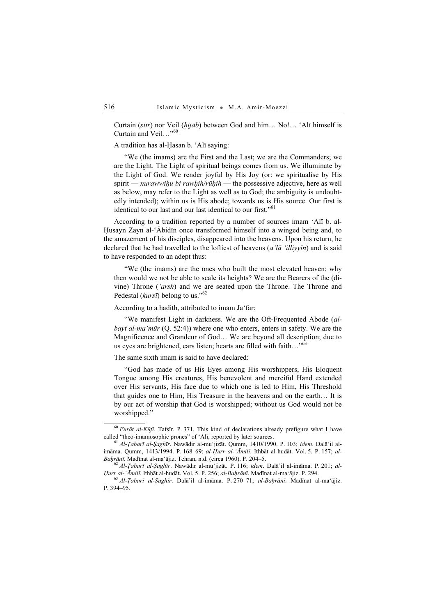Curtain (sitr) nor Veil ( $hij\bar{a}b$ ) between God and him... No!... 'Alī himself is Curtain and Veil…"<sup>60</sup>

A tradition has al-Ḥasan b. 'Alī saying:

"We (the imams) are the First and the Last; we are the Commanders; we are the Light. The Light of spiritual beings comes from us. We illuminate by the Light of God. We render joyful by His Joy (or: we spiritualise by His spirit — *nurawwihu bi rawhih/rūhih* — the possessive adjective, here as well as below, may refer to the Light as well as to God; the ambiguity is undoubtedly intended); within us is His abode; towards us is His source. Our first is identical to our last and our last identical to our first."<sup>61</sup>

According to a tradition reported by a number of sources imam 'Alī b. al-Ḥusayn Zayn al-'Ābidīn once transformed himself into a winged being and, to the amazement of his disciples, disappeared into the heavens. Upon his return, he declared that he had travelled to the loftiest of heavens (a'la 'illiyv $\bar{u}$ ) and is said to have responded to an adept thus:

"We (the imams) are the ones who built the most elevated heaven; why then would we not be able to scale its heights? We are the Bearers of the (divine) Throne ('arsh) and we are seated upon the Throne. The Throne and Pedestal ( $kurs\bar{i}$ ) belong to us."<sup>62</sup>

According to a hadith, attributed to imam Ja'far:

"We manifest Light in darkness. We are the Oft-Frequented Abode (albayt al-ma'mūr  $(Q. 52:4)$ ) where one who enters, enters in safety. We are the Magnificence and Grandeur of God… We are beyond all description; due to us eyes are brightened, ears listen; hearts are filled with faith..."<sup>63</sup>

The same sixth imam is said to have declared:

"God has made of us His Eyes among His worshippers, His Eloquent Tongue among His creatures, His benevolent and merciful Hand extended over His servants, His face due to which one is led to Him, His Threshold that guides one to Him, His Treasure in the heavens and on the earth… It is by our act of worship that God is worshipped; without us God would not be worshipped."

<sup>&</sup>lt;sup>60</sup> *Furāt al-Kūfī*. Tafsīr. P. 371. This kind of declarations already prefigure what I have called "theo-imamosophic prones" of 'Alī, reported by later sources.

 $^{61}$  Al-Ţabarī al-Ṣaghīr. Nawādir al-mu'jizāt. Qumm, 1410/1990. P. 103; idem. Dalā'il alimāma. Qumm, 1413/1994. P. 168–69; al-Ḥurr al-'Āmilī. Ithbāt al-hudāt. Vol. 5. P. 157; al-

Baḥrānī. Madīnat al-ma'ājiz. Tehran, n.d. (circa 1960). P. 204–5.<br><sup>62</sup> Al-*Ṭabarī al-Ṣaghīr*. Nawādir al-mu'jizāt. P. 116; *idem*. Dalā'il al-imāma. P. 201; *al-Hurr al-'Āmilī*. Ithbāt al-hudāt. Vol. 5. P. 256; *al-Bahrān* 

 $^{63}$  Al-Tabarī al-Saghīr. Dalā'il al-imāma. P. 270–71; al-Baḥrānī. Madīnat al-ma'ājiz. P. 394–95.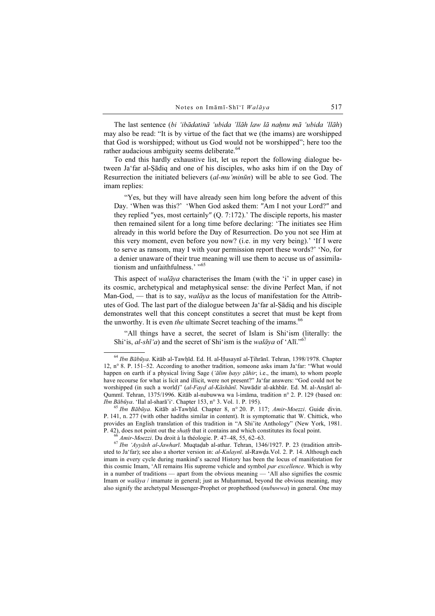The last sentence (bi 'ibādatinā 'ubida 'llāh law lā naḥnu mā 'ubida 'llāh) may also be read: "It is by virtue of the fact that we (the imams) are worshipped that God is worshipped; without us God would not be worshipped"; here too the rather audacious ambiguity seems deliberate.<sup>64</sup>

To end this hardly exhaustive list, let us report the following dialogue between Ja'far al-Ṣādiq and one of his disciples, who asks him if on the Day of Resurrection the initiated believers (al-mu'minūn) will be able to see God. The imam replies:

"Yes, but they will have already seen him long before the advent of this Day. 'When was this?' 'When God asked them: ″Am I not your Lord?″ and they replied ″yes, most certainly″ (Q. 7:172).' The disciple reports, his master then remained silent for a long time before declaring: 'The initiates see Him already in this world before the Day of Resurrection. Do you not see Him at this very moment, even before you now? (i.e. in my very being).' 'If I were to serve as ransom, may I with your permission report these words?' 'No, for a denier unaware of their true meaning will use them to accuse us of assimilationism and unfaithfulness.' "65

This aspect of *walāya* characterises the Imam (with the 'i' in upper case) in its cosmic, archetypical and metaphysical sense: the divine Perfect Man, if not Man-God, — that is to say, *walāya* as the locus of manifestation for the Attributes of God. The last part of the dialogue between Ja'far al-Ṣādiq and his disciple demonstrates well that this concept constitutes a secret that must be kept from the unworthy. It is even the ultimate Secret teaching of the imams.<sup>66</sup>

"All things have a secret, the secret of Islam is Shi'ism (literally: the Shi'is, al-shī'a) and the secret of Shi'ism is the *walāya* of 'Alī."<sup>67</sup>

P. 141, n. 277 (with other hadiths similar in content). It is symptomatic that W. Chittick, who provides an English translation of this tradition in "A Shi'ite Anthology" (New York, 1981.<br>P. 42), does not point out the *shath* that it contains and which constitutes its focal point.

<sup>66</sup> *Amir-Moezzi*. Du droit à la théologie. P. 47–48, 55, 62–63.<br><sup>67</sup> *Ibn 'Ayyāsh al-Jawharī*. Muqtadab al-athar. Tehran, 1346/1927. P. 23 (tradition attributed to Ja'far); see also a shorter version in: al-Kulaynī. al-Rawḍa.Vol. 2. P. 14. Although each imam in every cycle during mankind's sacred History has been the locus of manifestation for this cosmic Imam, 'Alī remains His supreme vehicle and symbol par excellence. Which is why in a number of traditions — apart from the obvious meaning — 'Alī also signifies the cosmic Imam or walāya / imamate in general; just as Muḥammad, beyond the obvious meaning, may also signify the archetypal Messenger-Prophet or prophethood (nubuwwa) in general. One may

<sup>64</sup> Ibn Bābūya. Kitāb al-Tawḥīd. Ed. H. al-Ḥusaynī al-Ṭihrānī. Tehran, 1398/1978. Chapter 12, n° 8. P. 151–52. According to another tradition, someone asks imam Ja'far: "What would happen on earth if a physical living Sage ('ālim hayy zāhir; i.e., the imam), to whom people have recourse for what is licit and illicit, were not present?" Ja'far answers: "God could not be worshipped (in such a world)" (al-Fayd al-Kāshānī. Nawādir al-akhbār. Ed. M. al-Anṣārī al-Qummī. Tehran, 1375/1996. Kitāb al-nubuwwa wa l-imāma, tradition n° 2. P. 129 (based on: Ibn Bābūya. 'Ilal al-sharā'i'. Chapter 153, n° 3. Vol. 1. P. 195).<br><sup>65</sup> Ibn Bābūya. Kitāb al-Tawhīd. Chapter 8, n° 20. P. 117; Amir-Moezzi. Guide divin.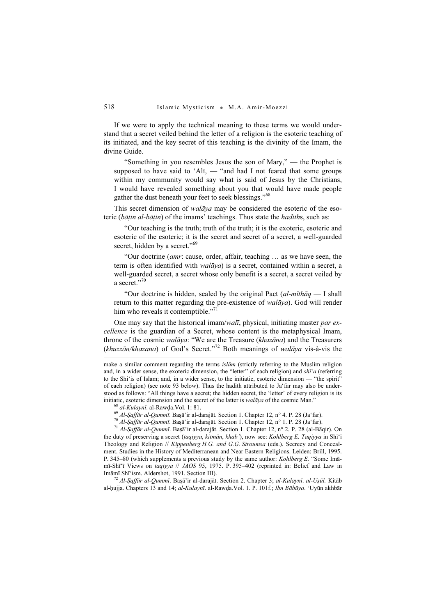If we were to apply the technical meaning to these terms we would understand that a secret veiled behind the letter of a religion is the esoteric teaching of its initiated, and the key secret of this teaching is the divinity of the Imam, the divine Guide.

"Something in you resembles Jesus the son of Mary," — the Prophet is supposed to have said to 'Al $\overline{\mathfrak{l}}$ ,  $-$  "and had I not feared that some groups within my community would say what is said of Jesus by the Christians, I would have revealed something about you that would have made people gather the dust beneath your feet to seek blessings."<sup>68</sup>

This secret dimension of *walāya* may be considered the esoteric of the esoteric (bāțin al-bāțin) of the imams' teachings. Thus state the *hadiths*, such as:

"Our teaching is the truth; truth of the truth; it is the exoteric, esoteric and esoteric of the esoteric; it is the secret and secret of a secret, a well-guarded secret, hidden by a secret."<sup>69</sup>

"Our doctrine (*amr*: cause, order, affair, teaching  $\ldots$  as we have seen, the term is often identified with *walāya*) is a secret, contained within a secret, a well-guarded secret, a secret whose only benefit is a secret, a secret veiled by a secret."<sup>70</sup>

"Our doctrine is hidden, sealed by the original Pact  $(al$ -mīth $\bar{a}q$  — I shall return to this matter regarding the pre-existence of walāya). God will render him who reveals it contemptible."<sup>71</sup>

One may say that the historical imam/wall, physical, initiating master par excellence is the guardian of a Secret, whose content is the metaphysical Imam, throne of the cosmic walāya: "We are the Treasure (khazāna) and the Treasurers  $(khuzzān/khazana)$  of God's Secret."<sup>72</sup> Both meanings of walāya vis-à-vis the

make a similar comment regarding the terms *islam* (strictly referring to the Muslim religion and, in a wider sense, the exoteric dimension, the "letter" of each religion) and  $sh\bar{i}$  (referring to the Shi'is of Islam; and, in a wider sense, to the initiatic, esoteric dimension — "the spirit" of each religion) (see note 93 below). Thus the hadith attributed to Ja'far may also be understood as follows: "All things have a secret; the hidden secret, the 'letter' of every religion is its

initiatic, esoteric dimension and the secret of the latter is *walāya* of the cosmic Man."<br><sup>68</sup> al-Kulaynī. al-Rawda.Vol. 1: 81.<br><sup>69</sup> Al-Saffār al-Qummī. Başā'ir al-darajāt. Section 1. Chapter 12, n° 4. P. 28 (Ja'far).<br><sup>7</sup> the duty of preserving a secret (taqiyya, kitmān, khab'), now see: Kohlberg E. Taqiyya in Shī'ī Theology and Religion // Kippenberg H.G. and G.G. Stroumsa (eds.). Secrecy and Concealment. Studies in the History of Mediterranean and Near Eastern Religions. Leiden: Brill, 1995. P. 345–80 (which supplements a previous study by the same author: *Kohlberg E.* "Some Imāmī-Shī'ī Views on taqiyya // JAOS 95, 1975. P. 395–402 (reprinted in: Belief and Law in Imāmī Shī'ism. Aldershot, 1991. Section III).<br><sup>72</sup> Al-*Ṣaffār al-Qummī*. Baṣā'ir al-darajāt. Section 2. Chapter 3; *al-Kulaynī. al-Uṣūl*. Kitāb

al-ḥujja. Chapters 13 and 14; al-Kulaynī. al-Rawḍa.Vol. 1. P. 101f.; Ibn Bābūya. 'Uyūn akhbār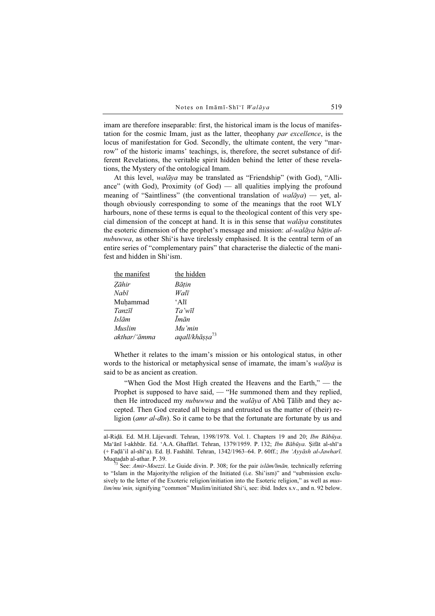imam are therefore inseparable: first, the historical imam is the locus of manifestation for the cosmic Imam, just as the latter, theophany par excellence, is the locus of manifestation for God. Secondly, the ultimate content, the very "marrow" of the historic imams' teachings, is, therefore, the secret substance of different Revelations, the veritable spirit hidden behind the letter of these revelations, the Mystery of the ontological Imam.

At this level, walāya may be translated as "Friendship" (with God), "Alliance" (with God), Proximity (of God) — all qualities implying the profound meaning of "Saintliness" (the conventional translation of  $walāva$ ) — yet, although obviously corresponding to some of the meanings that the root WLY harbours, none of these terms is equal to the theological content of this very special dimension of the concept at hand. It is in this sense that walāya constitutes the esoteric dimension of the prophet's message and mission: al-walāya bātin alnubuwwa, as other Shi'is have tirelessly emphasised. It is the central term of an entire series of "complementary pairs" that characterise the dialectic of the manifest and hidden in Shi'ism.

| the manifest      | the hidden                 |
|-------------------|----------------------------|
| Zāhir             | Bātin                      |
| $Nab\overline{i}$ | Walī                       |
| Muhammad          | ʻAlī                       |
| Tanzīl            | Ta'wīl                     |
| <i>Islām</i>      | Īmān                       |
| <i>Muslim</i>     | Mu'min                     |
| akthar/'āmma      | aqall/khāṣṣa <sup>73</sup> |

Whether it relates to the imam's mission or his ontological status, in other words to the historical or metaphysical sense of imamate, the imam's walaya is said to be as ancient as creation.

"When God the Most High created the Heavens and the Earth," — the Prophet is supposed to have said, — "He summoned them and they replied, then He introduced my *nubuwwa* and the *walāya* of Abū Țālib and they accepted. Then God created all beings and entrusted us the matter of (their) religion (*amr al-dīn*). So it came to be that the fortunate are fortunate by us and

al-Riḍā. Ed. M.H. Lājevardī. Tehran, 1398/1978. Vol. 1. Chapters 19 and 20; Ibn Bābūya. Ma'ānī l-akhbār. Ed. 'A.A. Ghaffārī. Tehran, 1379/1959. P. 132; Ibn Bābūya. Şifāt al-shī'a (+ Faḍā'il al-shī'a). Ed. Ḥ. Fashāhī. Tehran, 1342/1963–64. P. 60ff.; Ibn 'Ayyāsh al-Jawharī.

<sup>&</sup>lt;sup>3</sup> See: Amir-Moezzi. Le Guide divin. P. 308; for the pair islām/ $\bar{a}$ m, technically referring to "Islam in the Majority/the religion of the Initiated (i.e. Shi'ism)" and "submission exclusively to the letter of the Exoteric religion/initiation into the Esoteric religion," as well as *mus*lim/mu'min, signifying "common" Muslim/initiated Shi'i, see: ibid. Index s.v., and n. 92 below.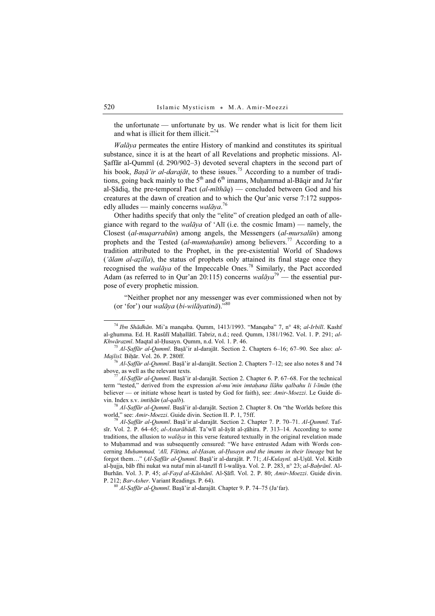the unfortunate — unfortunate by us. We render what is licit for them licit and what is illicit for them illicit."<sup>74</sup>

Walāya permeates the entire History of mankind and constitutes its spiritual substance, since it is at the heart of all Revelations and prophetic missions. Al-Ṣaffār al-Qummī (d. 290/902–3) devoted several chapters in the second part of his book, Baṣā'ir al-darajāt, to these issues.<sup>75</sup> According to a number of traditions, going back mainly to the  $5<sup>th</sup>$  and  $6<sup>th</sup>$  imams, Muhammad al-Bāqir and Ja'far al-Sādiq, the pre-temporal Pact  $(al-m\bar{t}h\bar{a}q$  – concluded between God and his creatures at the dawn of creation and to which the Qur'anic verse 7:172 supposedly alludes — mainly concerns  $\omega a \bar{a} y a$ .<sup>76</sup>

Other hadiths specify that only the "elite" of creation pledged an oath of allegiance with regard to the *walāya* of 'Alī (i.e. the cosmic Imam) — namely, the Closest (al-muqarrabūn) among angels, the Messengers (al-mursalūn) among prophets and the Tested (al-mumtahanūn) among believers.<sup>77</sup> According to a tradition attributed to the Prophet, in the pre-existential World of Shadows ('ālam al-azilla), the status of prophets only attained its final stage once they recognised the *walāya* of the Impeccable Ones.<sup>78</sup> Similarly, the Pact accorded Adam (as referred to in Qur'an 20:115) concerns walāya<sup>79</sup> — the essential purpose of every prophetic mission.

"Neither prophet nor any messenger was ever commissioned when not by (or 'for') our walāya (bi-wilāyatinā)."<sup>80</sup>

<sup>74</sup> Ibn Shādhān. Mi'a manqaba. Qumm, 1413/1993. "Manqaba" 7, n° 48; al-Irbilī. Kashf al-ghumma. Ed. H. Rasūlī Mahallātī. Tabriz, n.d.; reed. Qumm, 1381/1962. Vol. 1. P. 291; al-Khwārazmī. Maqtal al-Ḥusayn. Qumm, n.d. Vol. 1. P. 46.<br><sup>75</sup> Al-Ṣaffār al-Qummī. Baṣā'ir al-darajāt. Section 2. Chapters 6–16; 67–90. See also: al-

*Majlisī*. Biḥār. Vol. 26. P. 280ff.<br><sup>76</sup> Al-*Ṣaffār al-Qummī*. Baṣā'ir al-darajāt. Section 2. Chapters 7–12; see also notes 8 and 74 above, as well as the relevant texts.

 $^{77}$  Al-Ṣaffār al-Qummī. Baṣā'ir al-darajāt. Section 2. Chapter 6. P. 67–68. For the technical term "tested," derived from the expression al-mu'min imtahana llāhu qalbahu li l-īmān (the believer — or initiate whose heart is tasted by God for faith), see: Amir-Moezzi. Le Guide di-

vin. Index s.v. *imtiḥān (al-qalb)*.<br><sup>78</sup> Al-*Ṣaffār al-Qummī*. Baṣā'ir al-darajāt. Section 2. Chapter 8. On "the Worlds before this world," see: Amir-Moezzi. Guide divin. Section II. P. 1, 75ff.

<sup>&</sup>lt;sup>79</sup> Al-Saffār al-Qummī. Basā'ir al-darajāt. Section 2. Chapter 7. P. 70–71. Al-Qummī. Tafsīr. Vol. 2. P. 64–65; al-Astarābādī. Ta'wīl al-āyāt al-zāhira. P. 313–14. According to some traditions, the allusion to *walāya* in this verse featured textually in the original revelation made to Muḥammad and was subsequently censured: "We have entrusted Adam with Words concerning Muḥammad, 'Alī, Fāṭima, al-Ḥasan, al-Ḥusayn and the imams in their lineage but he forgot them…" (Al-Ṣaffār al-Qummī. Baṣā'ir al-darajāt. P. 71; Al-Kulaynī. al-Uṣūl. Vol. Kitāb al-hujja, bāb fīhi nukat wa nutaf min al-tanzīl fī l-walāya. Vol. 2. P. 283, n° 23; al-Bahrānī. Al-Burhān. Vol. 3. P. 45; al-Fayḍ al-Kāshānī. Al-Ṣāfī. Vol. 2. P. 80; Amir-Moezzi. Guide divin. P. 212; Bar-Asher. Variant Readings. P. 64).<br><sup>80</sup> Al-*Saffār al-Qummī*. Baṣā'ir al-darajāt. Chapter 9. P. 74–75 (Ja'far).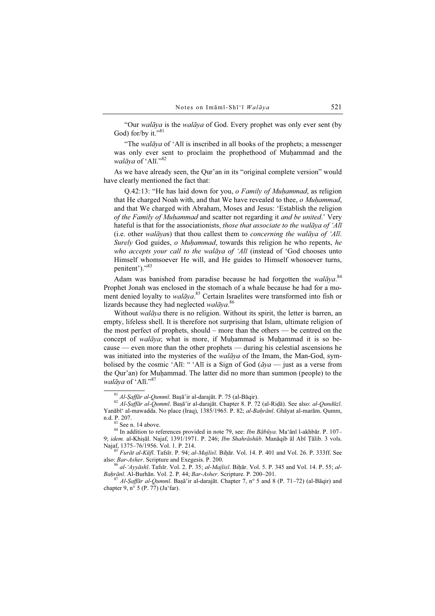"Our walāya is the walāya of God. Every prophet was only ever sent (by God) for/by it." $81$ 

"The walāya of 'Alī is inscribed in all books of the prophets; a messenger was only ever sent to proclaim the prophethood of Muhammad and the walāya of 'Alī." $82$ 

As we have already seen, the Qur'an in its "original complete version" would have clearly mentioned the fact that:

Q.42:13: "He has laid down for you, *o Family of Muhammad*, as religion that He charged Noah with, and that We have revealed to thee,  $\sigma$  Muhammad, and that We charged with Abraham, Moses and Jesus: 'Establish the religion of the Family of Muhammad and scatter not regarding it and be united.' Very hateful is that for the associationists, those that associate to the walāya of 'Alī (i.e. other walāyas) that thou callest them to *concerning the walāya of 'Alī*. Surely God guides, o Muhammad, towards this religion he who repents, he who accepts your call to the walāya of 'Alī (instead of 'God chooses unto Himself whomsoever He will, and He guides to Himself whosoever turns, penitent')."83

Adam was banished from paradise because he had forgotten the walaya.<sup>84</sup> Prophet Jonah was enclosed in the stomach of a whale because he had for a moment denied loyalty to walāya.<sup>85</sup> Certain Israelites were transformed into fish or lizards because they had neglected walāya.<sup>86</sup>

Without *walāya* there is no religion. Without its spirit, the letter is barren, an empty, lifeless shell. It is therefore not surprising that Islam, ultimate religion of the most perfect of prophets, should – more than the others — be centred on the concept of walāya; what is more, if Muḥammad is Muḥammad it is so because — even more than the other prophets — during his celestial ascensions he was initiated into the mysteries of the walāya of the Imam, the Man-God, symbolised by the cosmic 'Alī: "'Alī is a Sign of God ( $\bar{a}ya$  — just as a verse from the Qur'an) for Muḥammad. The latter did no more than summon (people) to the walāya of 'Alī."<sup>87</sup>

<sup>&</sup>lt;sup>81</sup> Al-Șaffār al-Qummī. Baṣā'ir al-darajāt. P. 75 (al-Bāqir).<br><sup>82</sup> Al-*Saffār al-Qummī*. Baṣā'ir al-darajāt. Chapter 8. P. 72 (al-Riḍā). See also: al-Qundūzī. Yanābī' al-mawadda. No place (Iraq), 1385/1965. P. 82; al-Baḥrānī. Ghāyat al-marām. Qumm, n.d. P. 207.

 $83$  See n. 14 above.

<sup>&</sup>lt;sup>84</sup> In addition to references provided in note 79, see: *Ibn Bābūya*. Ma'ānī l-akhbār. P. 107– 9; idem. al-Khiṣāl. Najaf, 1391/1971. P. 246; Ibn Shahrāshūb. Manāqib āl Abī Țālib. 3 vols. Najaf, 1375–76/1956. Vol. 1. P. 214.

<sup>&</sup>lt;sup>85</sup> Furāt al-Kūfī. Tafsīr. P. 94; al-Majlisī. Biḥār. Vol. 14. P. 401 and Vol. 26. P. 333ff. See also: *Bar-Asher*. Scripture and Exegesis. P. 200.

also: Bar-Asher. Scripture and Execution 2. P. 35; al-Majlisī. Biḥār. Vol. 5. P. 345 and Vol. 14. P. 55; al-<br>Baḥrānī. Al-Burhān. Vol. 2. P. 44; Bar-Asher. Scripture. P. 200–201.

 $^{87}$  Al-Saffār al-Qummī. Baṣā'ir al-darajāt. Chapter 7, n° 5 and 8 (P. 71–72) (al-Bāqir) and chapter 9,  $n^{\circ}$  5 (P. 77) (Ja'far).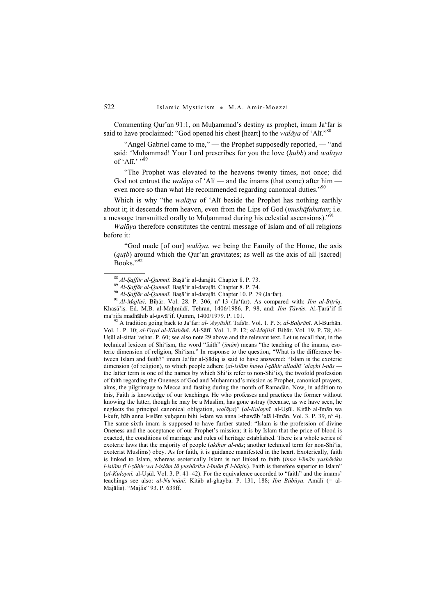Commenting Qur'an 91:1, on Muḥammad's destiny as prophet, imam Ja'far is said to have proclaimed: "God opened his chest [heart] to the walāya of 'Alī."<sup>88</sup>

"Angel Gabriel came to me," — the Prophet supposedly reported, — "and said: 'Muhammad! Your Lord prescribes for you the love (hubb) and walāya of 'Alī.' "89

"The Prophet was elevated to the heavens twenty times, not once; did God not entrust the *walāya* of 'Alī — and the imams (that come) after him even more so than what He recommended regarding canonical duties."<sup>90</sup>

Which is why "the *walāya* of 'Alī beside the Prophet has nothing earthly about it; it descends from heaven, even from the Lips of God (*mushāfahatan*; i.e. a message transmitted orally to Muḥammad during his celestial ascensions)."<sup>91</sup>

Walāya therefore constitutes the central message of Islam and of all religions before it:

"God made [of our] walaya, we being the Family of the Home, the axis  $(qutb)$  around which the Qur'an gravitates; as well as the axis of all [sacred] Books."<sup>92</sup>

<sup>88</sup> Al-Saffār al-Qummī. Bașā'ir al-darajāt. Chapter 8. P. 73.<br><sup>89</sup> Al-Saffār al-Qummī. Bașā'ir al-darajāt. Chapter 8. P. 74.<br><sup>90</sup> Al-Saffār al-Qummī. Bașā'ir al-darajāt. Chapter 10. P. 79 (Ja'far).<br><sup>91</sup> Al-Majlisī. Biḥār Khaṣā'iṣ. Ed. M.B. al-Maḥmūdī. Tehran, 1406/1986. P. 98, and: *Ibn Tāwūs*. Al-Tarā'if fī ma'rifa madhāhib al-ṭawā'if. Qumm, 1400/1979. P. 101.<br><sup>92</sup> A tradition going back to Ja'far: *al-'Ayyāshī*. Tafsīr. Vol. 1. P. 5; *al-Bahrānī*. Al-Burhān.

Vol. 1. P. 10; al-Fayḍ al-Kāshānī. Al-Ṣāfī. Vol. 1. P. 12; al-Majlisī. Biḥār. Vol. 19. P. 78; Al-Uṣūl al-sittat 'ashar. P. 60; see also note 29 above and the relevant text. Let us recall that, in the technical lexicon of Shi'ism, the word "faith" ( $\overline{\textit{iman}}$ ) means "the teaching of the imams, esoteric dimension of religion, Shi'ism." In response to the question, "What is the difference between Islam and faith?" imam Ja'far al-Ṣādiq is said to have answered: "Islam is the exoteric dimension (of religion), to which people adhere (al-islām huwa l-ẓāhir alladhī 'alayhi l-nās the latter term is one of the names by which Shi'is refer to non-Shi'is), the twofold profession of faith regarding the Oneness of God and Muḥammad's mission as Prophet, canonical prayers, alms, the pilgrimage to Mecca and fasting during the month of Ramaḍān. Now, in addition to this, Faith is knowledge of our teachings. He who professes and practices the former without knowing the latter, though he may be a Muslim, has gone astray (because, as we have seen, he neglects the principal canonical obligation, walāya)" (al-Kulaynī. al-Uṣūl. Kitāb al-īmān wa l-kufr, bāb anna l-islām yuḥqanu bihi l-dam wa anna l-thawāb 'alā l-īmān. Vol. 3. P. 39, n° 4). The same sixth imam is supposed to have further stated: "Islam is the profession of divine Oneness and the acceptance of our Prophet's mission; it is by Islam that the price of blood is exacted, the conditions of marriage and rules of heritage established. There is a whole series of exoteric laws that the majority of people (akthar al-nās; another technical term for non-Shi'is, exoterist Muslims) obey. As for faith, it is guidance manifested in the heart. Exoterically, faith is linked to Islam, whereas esoterically Islam is not linked to faith (inna l-īmān yushāriku l-islām fī l-zāhir wa l-islām lā yushāriku l-īmān fī l-bāṭin). Faith is therefore superior to Islam"  $(al-Kulavn\bar{\iota}$  al-Usūl. Vol. 3. P. 41–42). For the equivalence accorded to "faith" and the imams' teachings see also:  $al-Nu'm\bar{a}n\bar{b}$ . Kitāb al-ghayba. P. 131, 188; Ibn Bābūya. Amālī (= al-Majālis). "Majlis" 93. P. 639ff.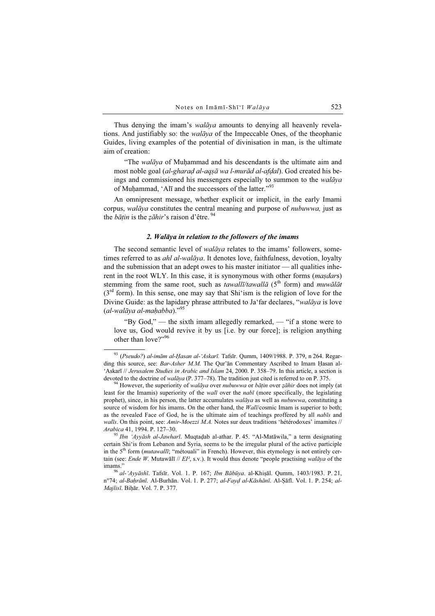Thus denying the imam's *walāya* amounts to denying all heavenly revelations. And justifiably so: the *walāya* of the Impeccable Ones, of the theophanic Guides, living examples of the potential of divinisation in man, is the ultimate aim of creation:

"The *walāya* of Muhammad and his descendants is the ultimate aim and most noble goal (al-gharad al-aqṣā wa l-murād al-afdal). God created his beings and commissioned his messengers especially to summon to the walāya of Muḥammad, 'Alī and the successors of the latter."<sup>93</sup>

An omnipresent message, whether explicit or implicit, in the early Imami corpus, walāya constitutes the central meaning and purpose of nubuwwa, just as the *bātin* is the *zāhir*'s raison d'être.  $94$ 

#### 2. Walāya in relation to the followers of the imams

The second semantic level of *walāya* relates to the imams' followers, sometimes referred to as *ahl al-walāya*. It denotes love, faithfulness, devotion, loyalty and the submission that an adept owes to his master initiator — all qualities inherent in the root WLY. In this case, it is synonymous with other forms (*masdars*) stemming from the same root, such as tawallī/tawallā ( $5<sup>th</sup>$  form) and muwālāt  $(3<sup>rd</sup>$  form). In this sense, one may say that Shi'ism is the religion of love for the Divine Guide: as the lapidary phrase attributed to Ja'far declares, "walāya is love (al-walāya al-maḥabba)."<sup>95</sup>

"By God," — the sixth imam allegedly remarked, — "if a stone were to love us, God would revive it by us [i.e. by our force]; is religion anything other than love?"<sup>96</sup>

 $93$  (Pseudo?) al-imām al-Hasan al-'Askarī. Tafsīr. Qumm, 1409/1988. P. 379, n 264. Regarding this source, see: Bar-Asher M.M. The Our'an Commentary Ascribed to Imam Hasan al-'Askarī // Jerusalem Studies in Arabic and Islam 24, 2000. P. 358–79. In this article, a section is devoted to the doctrine of *walāya* (P. 377–78). The tradition just cited is referred to on P. 375. <sup>94</sup> However, the superiority of *walāya* over *nubuwwa* or *bātin* over *zāhir* does not imply (at

least for the Imamis) superiority of the *walī* over the *nabī* (more specifically, the legislating prophet), since, in his person, the latter accumulates *walāya* as well as *nubuwwa*, constituting a source of wisdom for his imams. On the other hand, the *Walī/cosmic Imam is superior to both*; as the revealed Face of God, he is the ultimate aim of teachings proffered by all nabīs and walīs. On this point, see: Amir-Moezzi M.A. Notes sur deux traditions 'hétérodoxes' imamites // Arabica 41, 1994. P. 127–30.<br><sup>95</sup> Ibn 'Ayyāsh al-Jawharī. Muqtaḍab al-athar. P. 45. "Al-Matāwila," a term designating

certain Shi'is from Lebanon and Syria, seems to be the irregular plural of the active participle in the 5<sup>th</sup> form (*mutawallī*; "métouali" in French). However, this etymology is not entirely certain (see: *Ende W.* Mutawālī // *EI*<sup>2</sup>, s.v.). It would thus denote "people practising *walāya* of the imams." <sup>96</sup> al-'Ayyāshī. Tafsīr. Vol. 1. P. 167; Ibn Bābūya. al-Khiṣāl. Qumm, 1403/1983. P. 21,

n°74; al-Bahrānī. Al-Burhān. Vol. 1. P. 277; al-Fayd al-Kāshānī. Al-Şāfī. Vol. 1. P. 254; al-Majlisī. Biḥār. Vol. 7. P. 377.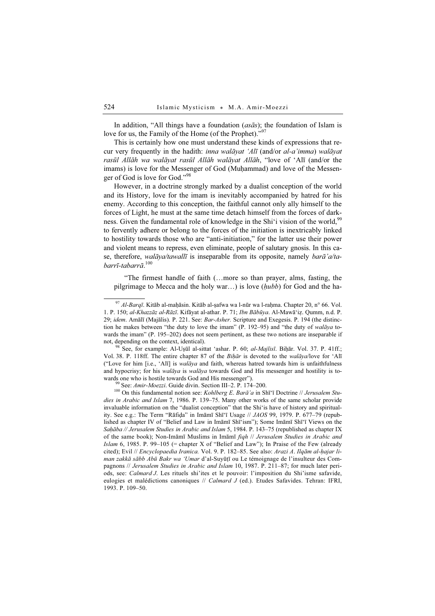In addition, "All things have a foundation (asas); the foundation of Islam is love for us, the Family of the Home (of the Prophet)."<sup>97</sup>

This is certainly how one must understand these kinds of expressions that recur very frequently in the hadith: *inna walāyat 'Alī* (and/or *al-a'imma*) walāyat rasūl Allāh wa walāyat rasūl Allāh walāyat Allāh, "love of 'Alī (and/or the imams) is love for the Messenger of God (Muhammad) and love of the Messenger of God is love for God."<sup>98</sup>

However, in a doctrine strongly marked by a dualist conception of the world and its History, love for the imam is inevitably accompanied by hatred for his enemy. According to this conception, the faithful cannot only ally himself to the forces of Light, he must at the same time detach himself from the forces of darkness. Given the fundamental role of knowledge in the Shi'i vision of the world,<sup>99</sup> to fervently adhere or belong to the forces of the initiation is inextricably linked to hostility towards those who are "anti-initiation," for the latter use their power and violent means to repress, even eliminate, people of salutary gnosis. In this case, therefore, walāya/tawallī is inseparable from its opposite, namely barā'a/tabarrī-tabarrā. 100

"The firmest handle of faith (…more so than prayer, alms, fasting, the pilgrimage to Mecca and the holy war...) is love  $(hubb)$  for God and the ha-

Vol. 38. P. 118ff. The entire chapter 87 of the Bihar is devoted to the walaya/love for 'Ali ("Love for him [i.e., 'Alī] is walāya and faith, whereas hatred towards him is unfaithfulness and hypocrisy; for his *walāya* is *walāya* towards God and His messenger and hostility is to-

wards one who is hostile towards God and His messenger").<br><sup>99</sup> See: Amir-Moezzi. Guide divin. Section III–2. P. 174–200.<br><sup>100</sup> On this fundamental notion see: Kohlberg E. Barā'a in Shī'ī Doctrine // Jerusalem Studies in Arabic and Islam 7, 1986. P. 139–75. Many other works of the same scholar provide invaluable information on the "dualist conception" that the Shi'is have of history and spirituality. See e.g.: The Term "Rāfiḍa" in Imāmī Shī'ī Usage // JAOS 99, 1979. P. 677–79 (republished as chapter IV of "Belief and Law in Imāmī Shī'ism"); Some Imāmī Shī'ī Views on the Saḥāba // Jerusalem Studies in Arabic and Islam 5, 1984. P. 143–75 (republished as chapter IX of the same book); Non-Imāmī Muslims in Imāmī fiqh // Jerusalem Studies in Arabic and *Islam* 6, 1985. P. 99–105 (= chapter X of "Belief and Law"); In Praise of the Few (already cited); Evil // Encyclopaedia Iranica. Vol. 9. P. 182-85. See also: Arazi A. Ilqām al-ḥajar liman zakkā sābb Abū Bakr wa 'Umar d'al-Suyūṭī ou Le témoignage de l'insulteur des Compagnons // Jerusalem Studies in Arabic and Islam 10, 1987. P. 211–87; for much later periods, see: Calmard J. Les rituels shi'ites et le pouvoir: l'imposition du Shi'isme safavide, eulogies et malédictions canoniques // Calmard J (ed.). Etudes Safavides. Tehran: IFRI, 1993. P. 109–50.

 $^{97}$  Al-Barqī. Kitāb al-maḥāsin. Kitāb al-ṣafwa wa l-nūr wa l-raḥma. Chapter 20, n° 66. Vol. 1. P. 150; al-Khazzāz al-Rāzī. Kifāyat al-athar. P. 71; Ibn Bābūya. Al-Mawā'iz. Qumm, n.d. P. 29; idem. Amālī (Majālis). P. 221. See: Bar-Asher. Scripture and Exegesis. P. 194 (the distinction he makes between "the duty to love the imam" (P. 192–95) and "the duty of  $walāva$  towards the imam" (P. 195–202) does not seem pertinent, as these two notions are inseparable if not, depending on the context, identical). <sup>98</sup> See, for example: Al-Uṣūl al-sittat 'ashar. P. 60; *al-Majlisī*. Biḥār. Vol. 37. P. 41ff.;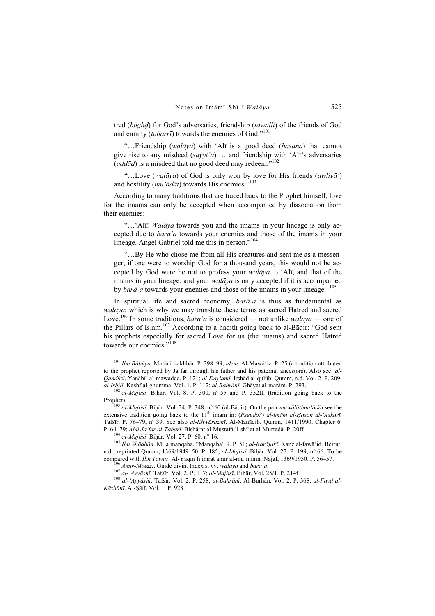tred (bughḍ) for God's adversaries, friendship (tawallī) of the friends of God and enmity (tabarrī) towards the enemies of God."<sup>101</sup>

"...Friendship (walāya) with 'Alī is a good deed (hasana) that cannot give rise to any misdeed  $(sayyi'a)$  ... and friendship with 'Alī's adversaries  $(add\bar{a}d)$  is a misdeed that no good deed may redeem."<sup>102</sup>

"...Love (walāya) of God is only won by love for His friends (awliyā') and hostility ( $mu'$ ādāt) towards His enemies."<sup>103</sup>

According to many traditions that are traced back to the Prophet himself, love for the imams can only be accepted when accompanied by dissociation from their enemies:

"...'Alī! Walāya towards you and the imams in your lineage is only accepted due to barā'a towards your enemies and those of the imams in your lineage. Angel Gabriel told me this in person."<sup>104</sup>

"…By He who chose me from all His creatures and sent me as a messenger, if one were to worship God for a thousand years, this would not be accepted by God were he not to profess your walāya, o 'Alī, and that of the imams in your lineage; and your *walāya* is only accepted if it is accompanied by *barā'a* towards your enemies and those of the imams in your lineage."<sup>105</sup>

In spiritual life and sacred economy,  $bar\{a}'a$  is thus as fundamental as walāva: which is why we may translate these terms as sacred Hatred and sacred Love.<sup>106</sup> In some traditions, *barā'a* is considered — not unlike *walāya* — one of the Pillars of Islam.<sup>107</sup> According to a hadith going back to al-Bāqir: "God sent his prophets especially for sacred Love for us (the imams) and sacred Hatred towards our enemies "108

P. 64–79; Abū Ja'far al-*Ṭabarī*. Bishārat al-Muṣṭafā li-shī<sup>t</sup>at al-Murtaḍā. P. 20ff.<br><sup>104</sup> al-Majlisī. Biḥār. Vol. 27. P. 60, n° 16. 105 Ibn Shādhān. Mi'a manqaba. "Manqaba" 9. P. 51; al-Karājakī. Kanz al-fawā'id. Beirut n.d.; reprinted Qumm, 1369/1949–50. P. 185; *al-Majlisī*. Biḥār. Vol. 27. P. 199, n° 66. To be compared with *Ibn Tāwūs*. Al-Yaqīn fī imrat amīr al-mu'minīn. Najaf, 1369/1950. P. 56–57.

<sup>&</sup>lt;sup>101</sup> Ibn Bābūva. Ma'ānī l-akhbār. P. 398–99; idem. Al-Mawā'iẓ. P. 25 (a tradition attributed to the prophet reported by Ja'far through his father and his paternal ancestors). Also see: al-Qundūzī. Yanābī' al-mawadda. P. 121; al-Daylamī. Irshād al-qulūb. Qumm, n.d. Vol. 2. P. 209; al-Irbilī. Kashf al-ghumma. Vol. 1. P. 112; al-Baḥrānī. Ghāyat al-marām. P. 293.<br><sup>102</sup> al-Majlisī. Biḥār. Vol. 8. P. 300, n° 55 and P. 352ff. (tradition going back to the

Prophet).<br><sup>103</sup> al-*Mailisī*. Biḥār. Vol. 24. P. 348, n° 60 (al-Bāqir). On the pair *muwālāt/mu 'ādāt* see the

extensive tradition going back to the  $11<sup>th</sup>$  imam in: (Pseudo?) al-imām al-Ḥasan al-'Askarī. Tafsīr. P. 76–79, n° 39. See also al-Khwārazmī. Al-Manāqib. Qumm, 1411/1990. Chapter 6.

<sup>&</sup>lt;sup>106</sup> Amir-Moezzi. Guide divin. Index s. vv. walāya and barā'a.<br><sup>107</sup> al-'Ayyāshī. Tafsīr. Vol. 2. P. 117; al-Majlisī. Biḥār. Vol. 25/1. P. 214f.<br><sup>108</sup> al-'Ayvāshī. Tafsīr. Vol. 2. P. 258; al-Baḥrānī. Al-Burhān. Vol. 2. P. Kāshānī. Al-Ṣāfī. Vol. 1. P. 923.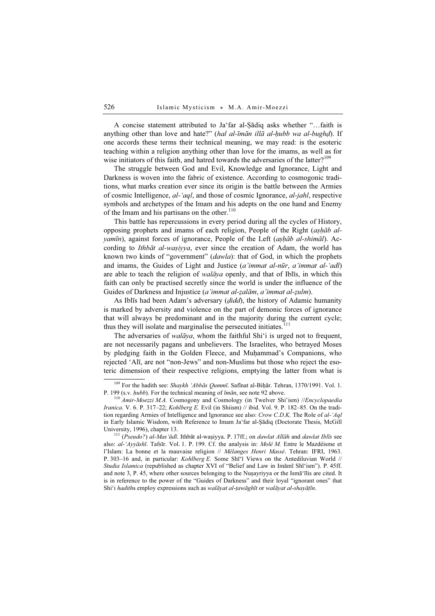A concise statement attributed to Ja'far al-Ṣādiq asks whether "…faith is anything other than love and hate?" (hal al-īmān illā al-hubb wa al-bughd). If one accords these terms their technical meaning, we may read: is the esoteric teaching within a religion anything other than love for the imams, as well as for wise initiators of this faith, and hatred towards the adversaries of the latter?<sup>109</sup>

The struggle between God and Evil, Knowledge and Ignorance, Light and Darkness is woven into the fabric of existence. According to cosmogonic traditions, what marks creation ever since its origin is the battle between the Armies of cosmic Intelligence, al-'aql, and those of cosmic Ignorance, al-jahl, respective symbols and archetypes of the Imam and his adepts on the one hand and Enemy of the Imam and his partisans on the other. $110$ 

This battle has repercussions in every period during all the cycles of History, opposing prophets and imams of each religion, People of the Right (aṣḥāb alyamīn), against forces of ignorance, People of the Left (așhāb al-shimāl). According to *Ithbāt al-waṣiyya*, ever since the creation of Adam, the world has known two kinds of "government" (*dawla*): that of God, in which the prophets and imams, the Guides of Light and Justice (a'immat al-nūr, a'immat al-'adl) are able to teach the religion of walāya openly, and that of Iblīs, in which this faith can only be practised secretly since the world is under the influence of the Guides of Darkness and Injustice (a'immat al-ẓalām, a'immat al-ẓulm).

As Iblīs had been Adam's adversary (*didd*), the history of Adamic humanity is marked by adversity and violence on the part of demonic forces of ignorance that will always be predominant and in the majority during the current cycle; thus they will isolate and marginalise the persecuted initiates.<sup>111</sup>

The adversaries of *walāya*, whom the faithful Shi'i is urged not to frequent, are not necessarily pagans and unbelievers. The Israelites, who betrayed Moses by pledging faith in the Golden Fleece, and Muḥammad's Companions, who rejected 'Alī, are not "non-Jews" and non-Muslims but those who reject the esoteric dimension of their respective religions, emptying the latter from what is

<sup>&</sup>lt;sup>109</sup> For the hadith see: *Shaykh 'Abbās Qummī*. Safīnat al-Biḥār. Tehran, 1370/1991. Vol. 1.<br>P. 199 (s.v. *hubb*). For the technical meaning of *īmān*, see note 92 above.

 $P^{110}$  Amir-Moezzi M.A. Cosmogony and Cosmology (in Twelver Shi'ism) //Encyclopaedia Iranica. V. 6. P. 317-22; Kohlberg E. Evil (in Shiism) // ibid. Vol. 9. P. 182-85. On the tradition regarding Armies of Intelligence and Ignorance see also: Crow C.D.K. The Role of al-'Aql in Early Islamic Wisdom, with Reference to Imam Ja'far al-Şādiq (Doctorate Thesis, McGill University, 1996), chapter 13.<br><sup>111</sup> (*Pseudo?) al-Mas'ūdī*. Ithbāt al-waṣiyya. P. 17ff.; on *dawlat Allāh* and *dawlat Iblīs* see

also: al-'Ayyāshī. Tafsīr. Vol. 1. P. 199. Cf. the analysis in: Molé M. Entre le Mazdéisme et l'Islam: La bonne et la mauvaise religion // Mélanges Henri Massé. Tehran: IFRI, 1963. P. 303-16 and, in particular: Kohlberg E. Some Shī'ī Views on the Antediluvian World // Studia Islamica (republished as chapter XVI of "Belief and Law in Imāmī Shī'ism"). P. 45ff. and note 3, P. 45, where other sources belonging to the Nuṣayriyya or the Ismā'īlis are cited. It is in reference to the power of the "Guides of Darkness" and their loyal "ignorant ones" that Shi'i hadiths employ expressions such as walāyat al-țawāghīt or walāyat al-shayāṭīn.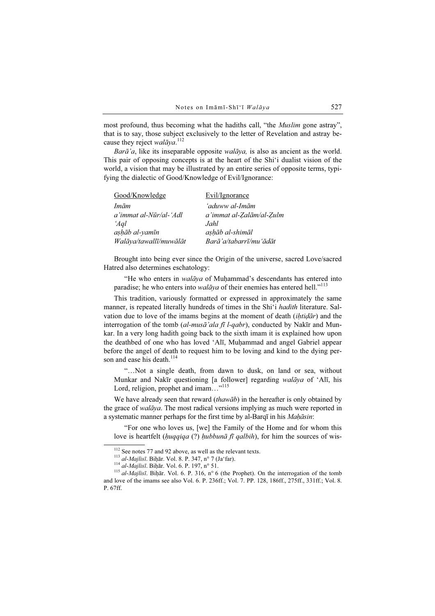most profound, thus becoming what the hadiths call, "the *Muslim* gone astray", that is to say, those subject exclusively to the letter of Revelation and astray because they reject walaya.<sup>112</sup>

Barā'a, like its inseparable opposite walāya, is also as ancient as the world. This pair of opposing concepts is at the heart of the Shi'i dualist vision of the world, a vision that may be illustrated by an entire series of opposite terms, typifying the dialectic of Good/Knowledge of Evil/Ignorance:

| Good/Knowledge         | Evil/Ignorance           |
|------------------------|--------------------------|
| Imām                   | 'aduww al-Imām           |
| a'immat al-Nūr/al-'Adl | a'immat al-Zalām/al-Zulm |
| 'Agl                   | Jahl                     |
| aşhāb al-yamīn         | ashāb al-shimāl          |
| Walāya/tawallī/muwālāt | Barā'a/tabarrī/muʻādāt   |

Brought into being ever since the Origin of the universe, sacred Love/sacred Hatred also determines eschatology:

"He who enters in *walāya* of Muhammad's descendants has entered into paradise; he who enters into *walāya* of their enemies has entered hell."<sup>113</sup>

This tradition, variously formatted or expressed in approximately the same manner, is repeated literally hundreds of times in the Shi'i *hadith* literature. Salvation due to love of the imams begins at the moment of death *(ihtidar)* and the interrogation of the tomb (al-musā'ala fī l-qabr), conducted by Nakīr and Munkar. In a very long hadith going back to the sixth imam it is explained how upon the deathbed of one who has loved 'Alī, Muḥammad and angel Gabriel appear before the angel of death to request him to be loving and kind to the dying person and ease his death  $^{114}$ 

"…Not a single death, from dawn to dusk, on land or sea, without Munkar and Nakīr questioning [a follower] regarding walāya of 'Alī, his Lord, religion, prophet and imam..."<sup>115</sup>

We have already seen that reward (thawab) in the hereafter is only obtained by the grace of *walāya*. The most radical versions implying as much were reported in a systematic manner perhaps for the first time by al-Barqī in his Mahāsin:

"For one who loves us, [we] the Family of the Home and for whom this love is heartfelt (huqqiqa (?) hubbunā fī qalbih), for him the sources of wis-

<sup>&</sup>lt;sup>112</sup> See notes 77 and 92 above, as well as the relevant texts.<br><sup>113</sup> al-Majlisī. Biḥār. Vol. 8. P. 347, n° 7 (Ja'far).<br><sup>114</sup> al-Majlisī. Biḥār. Vol. 6. P. 197, n° 51.<br><sup>115</sup> al-Majlisī. Biḥār. Vol. 6. P. 316, n° 6 (the Pr and love of the imams see also Vol. 6. P. 236ff.; Vol. 7. PP. 128, 186ff., 275ff., 331ff.; Vol. 8. P. 67ff.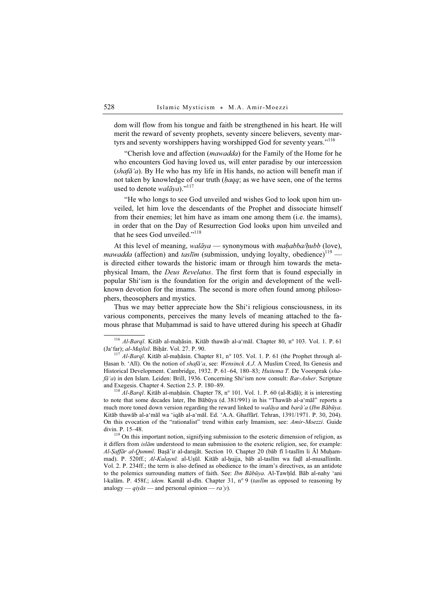dom will flow from his tongue and faith be strengthened in his heart. He will merit the reward of seventy prophets, seventy sincere believers, seventy martyrs and seventy worshippers having worshipped God for seventy years."<sup>116</sup>

"Cherish love and affection (mawadda) for the Family of the Home for he who encounters God having loved us, will enter paradise by our intercession  $(shafa'a)$ . By He who has my life in His hands, no action will benefit man if not taken by knowledge of our truth (haqq; as we have seen, one of the terms used to denote  $\textit{walāva}$ ."<sup>117</sup>

"He who longs to see God unveiled and wishes God to look upon him unveiled, let him love the descendants of the Prophet and dissociate himself from their enemies; let him have as imam one among them (i.e. the imams), in order that on the Day of Resurrection God looks upon him unveiled and that he sees God unveiled."<sup>118</sup>

At this level of meaning, walāya — synonymous with maḥabba/ḥubb (love), mawadda (affection) and taslim (submission, undying loyalty, obedience)<sup>119</sup> is directed either towards the historic imam or through him towards the metaphysical Imam, the Deus Revelatus. The first form that is found especially in popular Shi'ism is the foundation for the origin and development of the wellknown devotion for the imams. The second is more often found among philosophers, theosophers and mystics.

Thus we may better appreciate how the Shi'i religious consciousness, in its various components, perceives the many levels of meaning attached to the famous phrase that Muḥammad is said to have uttered during his speech at Ghadīr

to note that some decades later, Ibn Bābūya (d. 381/991) in his "Thawāb al-a'māl" reports a much more toned down version regarding the reward linked to walāya and barā'a (Ibn Bābūya. Kitāb thawāb al-a'māl wa 'iqāb al-a'māl. Ed. 'A.A. Ghaffārī. Tehran, 1391/1971. P. 30, 204). On this evocation of the "rationalist" trend within early Imamism, see: Amir-Moezzi. Guide divin. P. 15–48.<br><sup>119</sup> On this important notion, signifying submission to the esoteric dimension of religion, as

it differs from islām understood to mean submission to the exoteric religion, see, for example: Al-Ṣaffār al-Qummī. Baṣā'ir al-darajāt. Section 10. Chapter 20 (bāb fī l-taslīm li Āl Muḥammad). P. 520ff.; Al-Kulaynī. al-Uṣūl. Kitāb al-ḥujja, bāb al-taslīm wa faḍl al-musallimīn. Vol. 2. P. 234ff.; the term is also defined as obedience to the imam's directives, as an antidote to the polemics surrounding matters of faith. See: *Ibn Bābūya*. Al-Tawhīd. Bāb al-nahy 'ani l-kalām. P. 458f.; *idem.* Kamāl al-dīn. Chapter 31, n° 9 (taslīm as opposed to reasoning by analogy —  $qiv\bar{a}s$  — and personal opinion — ra'y).

<sup>&</sup>lt;sup>116</sup> Al-Barqī. Kitāb al-maḥāsin. Kitāb thawāb al-a'māl. Chapter 80, n° 103. Vol. 1. P. 61 (Ja'far); al-Majlisī. Biḥār. Vol. 27. P. 90.

 $\frac{117}{117}$  Al-Barqī. Kitāb al-maḥāsin. Chapter 81, n° 105. Vol. 1. P. 61 (the Prophet through al-Hasan b. 'Alī). On the notion of *shafā'a*, see: *Wensinck A.J.* A Muslim Creed, Its Genesis and Historical Development. Cambridge, 1932. P. 61–64, 180–83; Huitema T. De Voorsprak (sha $f\bar{a}'a$ ) in den Islam. Leiden: Brill, 1936. Concerning Shi'ism now consult: Bar-Asher. Scripture and Exegesis. Chapter 4. Section 2.5. P. 180–89.<br><sup>118</sup> Al-Barqī. Kitāb al-maḥāsin. Chapter 78, n° 101. Vol. 1. P. 60 (al-Riḍā); it is interesting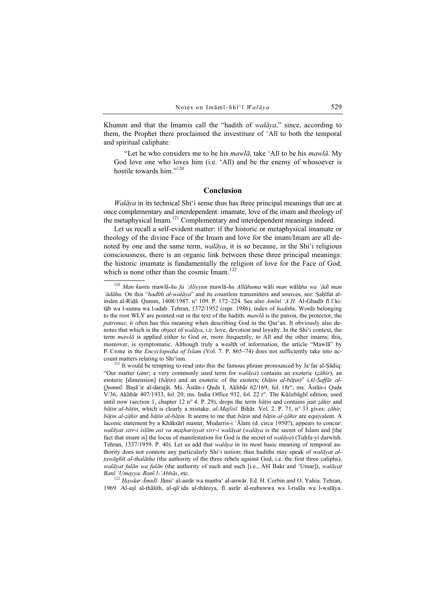Khumm and that the Imamis call the "hadith of  $walāva$ ," since, according to them, the Prophet there proclaimed the investiture of 'Alī to both the temporal and spiritual caliphate:

"Let he who considers me to be his *mawlā*, take 'Alī to be his *mawlā*. My God love one who loves him (i.e. 'Alī) and be the enemy of whosoever is hostile towards him."<sup>120</sup>

### Conclusion

 $Walāya$  in its technical Shi'i sense thus has three principal meanings that are at once complementary and interdependent: imamate, love of the imam and theology of the metaphysical Imam.<sup>121</sup> Complementary and interdependent meanings indeed.

Let us recall a self-evident matter: if the historic or metaphysical imamate or theology of the divine Face of the Imam and love for the imam/Imam are all denoted by one and the same term, *walāya*, it is so because, in the Shi'i religious consciousness, there is an organic link between these three principal meanings: the historic imamate is fundamentally the religion of love for the Face of God, which is none other than the cosmic Imam.<sup>122</sup>

 $^{122}$  Haydar Āmulī. Jāmi' al-asrār wa manba' al-anwār. Ed. H. Corbin and O. Yahia. Tehran, 1969. Al-aṣl al-thālith, al-qā'ida al-thāniya, fī asrār al-nubuwwa wa l-risāla wa l-walāya.

 $120$  Man kuntu mawlā-hu fa 'Aliyyun mawlā-hu Allāhuma wāli man wālāhu wa 'ādi man 'ādāhu. On this "hadīth al-walāya" and its countless transmitters and sources, see: Şaḥīfat alimām al-Riḍā. Qumm, 1408/1987. n° 109. P. 172–224. See also Amīnī 'A.Ḥ. Al-Ghadīr fī l'kitāb wa l-sunna wa l-adab. Tehran, 1372/1952 (repr. 1986), index of hadiths. Words belonging to the root WLY are pointed out in the text of the hadith:  $mawl\bar{a}$  is the patron, the protector, the patronus; it often has this meaning when describing God in the Qur'an. It obviously also denotes that which is the object of *walāya*, i.e. love, devotion and loyalty. In the Shi'i context, the term  $mawl\bar{a}$  is applied either to God or, more frequently, to Alī and the other imams; this, moreover, is symptomatic. Although truly a wealth of information, the article "Mawlā" by P. Crone in the *Encyclopedia of Islam* (Vol. 7. P. 865–74) does not sufficiently take into account matters relating to Shi'ism.<br><sup>121</sup> It would be tempting to read into this the famous phrase pronounced by Ja'far al-Ṣādiq:

<sup>&</sup>quot;Our matter (amr; a very commonly used term for walaya) contains an exoteric ( $z\bar{a}hir$ ), an esoteric [dimension] (bāṭin) and an esoteric of the esoteric (bāṭin al-bāṭin)" (Al-Ṣaffār al-Qummī. Baṣā'ir al-darajāt. Ms. Āstān-i Quds I, Akhbār 62/169, fol. 18r°; ms. Āstān-i Quds V/36, Akhbār 407/1933, fol. 20; ms. India Office 932, fol. 22 r°. The Kūčebāghī edition, used until now (section 1, chapter 12 n° 4. P. 29), drops the term *bātin* and contains just *zāhir* and bāțin al-bāțin, which is clearly a mistake. al-Majlisī. Biḥār. Vol. 2. P. 71, n° 33 gives: ẓāhir, bāṭin al-ẓāhir and bāṭin al-bāṭin. It seems to me that bāṭin and bāṭin al-ẓāhir are equivalent. A laconic statement by a Khāksārī master, Mudarris-i 'Ālam (d. circa 1950?), appears to concur: walāyat sirr-i islām ast va mazhariyyat sirr-i walāyat (walāya is the secret of Islam and [the fact that imam is] the locus of manifestation for God is the secret of walaya) (Tuḥfa-yi darwīsh. Tehran, 1337/1959. P. 40). Let us add that *walāya* in its most basic meaning of temporal authority does not connote any particularly Shi'i notion; thus hadiths may speak of walayat altawāghīt al-thalātha (the authority of the three rebels against God, i.e. the first three caliphs), walāyat fulān wa fulān (the authority of such and such [i.e., Abī Bakr and 'Umar]), walāyat Banī 'Umayya, Banī l-'Abbās, etc.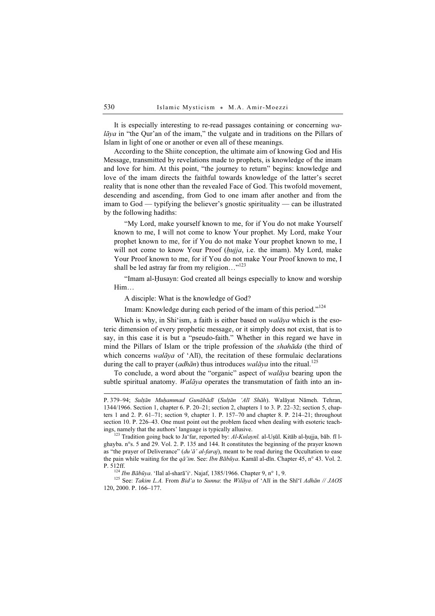It is especially interesting to re-read passages containing or concerning wa $lāya$  in "the Qur'an of the imam," the vulgate and in traditions on the Pillars of Islam in light of one or another or even all of these meanings.

According to the Shiite conception, the ultimate aim of knowing God and His Message, transmitted by revelations made to prophets, is knowledge of the imam and love for him. At this point, "the journey to return" begins: knowledge and love of the imam directs the faithful towards knowledge of the latter's secret reality that is none other than the revealed Face of God. This twofold movement, descending and ascending, from God to one imam after another and from the imam to God — typifying the believer's gnostic spirituality — can be illustrated by the following hadiths:

"My Lord, make yourself known to me, for if You do not make Yourself known to me, I will not come to know Your prophet. My Lord, make Your prophet known to me, for if You do not make Your prophet known to me, I will not come to know Your Proof (hujja, i.e. the imam). My Lord, make Your Proof known to me, for if You do not make Your Proof known to me, I shall be led astray far from my religion..."<sup>123</sup>

"Imam al-Ḥusayn: God created all beings especially to know and worship Him…

A disciple: What is the knowledge of God?

Imam: Knowledge during each period of the imam of this period."<sup>124</sup>

Which is why, in Shi'ism, a faith is either based on *walāya* which is the esoteric dimension of every prophetic message, or it simply does not exist, that is to say, in this case it is but a "pseudo-faith." Whether in this regard we have in mind the Pillars of Islam or the triple profession of the shahāda (the third of which concerns *walāya* of 'Alī), the recitation of these formulaic declarations during the call to prayer (*adhān*) thus introduces walāya into the ritual.<sup>125</sup>

To conclude, a word about the "organic" aspect of walāya bearing upon the subtle spiritual anatomy. Walāya operates the transmutation of faith into an in-

P. 512ff.<br><sup>124</sup> Ibn Bābūya. 'Ilal al-sharā'i'. Najaf, 1385/1966. Chapter 9, n° 1, 9.<br><sup>125</sup> See: *Takim L.A.* From *Bid'a to Sunna*: the *Wilāya* of 'Alī in the Shī'ī *Adhān // JAOS* 120, 2000. P. 166–177.

P. 379–94; Sultān Muhammad Gunābādī (Sultān 'Alī Shāh). Walāyat Nāmeh. Tehran, 1344/1966. Section 1, chapter 6. P. 20–21; section 2, chapters 1 to 3. P. 22–32; section 5, chapters 1 and 2. P. 61–71; section 9, chapter 1. P. 157–70 and chapter 8. P. 214–21; throughout section 10. P. 226–43. One must point out the problem faced when dealing with esoteric teachings, namely that the authors' language is typically allusive.<br><sup>123</sup> Tradition going back to Ja'far, reported by: *Al-Kulaynī*. al-Uṣūl. Kitāb al-ḥujja, bāb. fī l-

ghayba. n°s. 5 and 29. Vol. 2. P. 135 and 144. It constitutes the beginning of the prayer known as "the prayer of Deliverance" (du'ā' al-faraj), meant to be read during the Occultation to ease the pain while waiting for the  $q\bar{a}'$ im. See: Ibn Bābūya. Kamāl al-dīn. Chapter 45, n° 43. Vol. 2.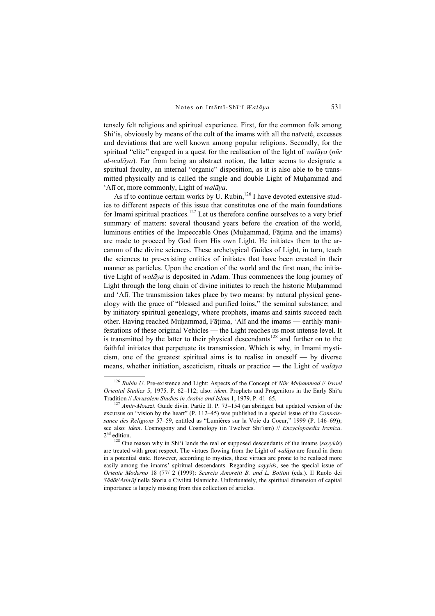tensely felt religious and spiritual experience. First, for the common folk among Shi'is, obviously by means of the cult of the imams with all the naïveté, excesses and deviations that are well known among popular religions. Secondly, for the spiritual "elite" engaged in a quest for the realisation of the light of walaya (nūr  $al-walāva$ ). Far from being an abstract notion, the latter seems to designate a spiritual faculty, an internal "organic" disposition, as it is also able to be transmitted physically and is called the single and double Light of Muḥammad and 'Alī or, more commonly, Light of walāya.

As if to continue certain works by U. Rubin, $126$  I have devoted extensive studies to different aspects of this issue that constitutes one of the main foundations for Imami spiritual practices.<sup>127</sup> Let us therefore confine ourselves to a very brief summary of matters: several thousand years before the creation of the world, luminous entities of the Impeccable Ones (Muḥammad, Fāṭima and the imams) are made to proceed by God from His own Light. He initiates them to the arcanum of the divine sciences. These archetypical Guides of Light, in turn, teach the sciences to pre-existing entities of initiates that have been created in their manner as particles. Upon the creation of the world and the first man, the initiative Light of walāya is deposited in Adam. Thus commences the long journey of Light through the long chain of divine initiates to reach the historic Muḥammad and 'Alī. The transmission takes place by two means: by natural physical genealogy with the grace of "blessed and purified loins," the seminal substance; and by initiatory spiritual genealogy, where prophets, imams and saints succeed each other. Having reached Muḥammad, Fāṭima, 'Alī and the imams — earthly manifestations of these original Vehicles — the Light reaches its most intense level. It is transmitted by the latter to their physical descendants<sup>128</sup> and further on to the faithful initiates that perpetuate its transmission. Which is why, in Imami mysticism, one of the greatest spiritual aims is to realise in oneself — by diverse means, whether initiation, asceticism, rituals or practice — the Light of  $waliqva$ 

 $126$  Rubin U. Pre-existence and Light: Aspects of the Concept of Nūr Muḥammad // Israel Oriental Studies 5, 1975. P. 62–112; also: idem. Prophets and Progenitors in the Early Shī'a Tradition // Jerusalem Studies in Arabic and Islam 1, 1979. P. 41–65.<br><sup>127</sup> Amir-Moezzi. Guide divin. Partie II. P. 73–154 (an abridged but updated version of the

excursus on "vision by the heart" (P. 112–45) was published in a special issue of the Connaissance des Religions 57–59, entitled as "Lumières sur la Voie du Coeur," 1999 (P. 146–69)); see also: *idem.* Cosmogony and Cosmology (in Twelver Shi'ism) // *Encyclopaedia Iranica*. 2<sup>nd</sup> edition.

 $128$  One reason why in Shi'i lands the real or supposed descendants of the imams (sayyids) are treated with great respect. The virtues flowing from the Light of walaya are found in them in a potential state. However, according to mystics, these virtues are prone to be realised more easily among the imams' spiritual descendants. Regarding sayyids, see the special issue of Oriente Moderno 18 (77/ 2 (1999): Scarcia Amoretti B. and L. Bottini (eds.). Il Ruolo dei Sādāt/Ashrāf nella Storia e Civilità Islamiche. Unfortunately, the spiritual dimension of capital importance is largely missing from this collection of articles.